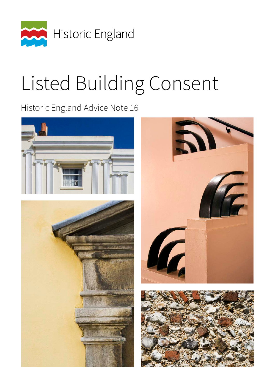

# Listed Building Consent

Historic England Advice Note 16

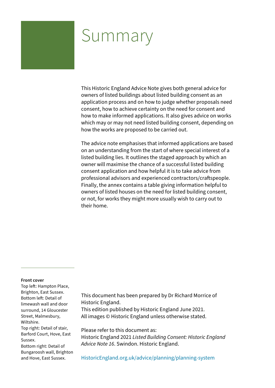## Summary

This Historic England Advice Note gives both general advice for owners of listed buildings about listed building consent as an application process and on how to judge whether proposals need consent, how to achieve certainty on the need for consent and how to make informed applications. It also gives advice on works which may or may not need listed building consent, depending on how the works are proposed to be carried out.

The advice note emphasises that informed applications are based on an understanding from the start of where special interest of a listed building lies. It outlines the staged approach by which an owner will maximise the chance of a successful listed building consent application and how helpful it is to take advice from professional advisors and experienced contractors/craftspeople. Finally, the annex contains a table giving information helpful to owners of listed houses on the need for listed building consent, or not, for works they might more usually wish to carry out to their home.

#### **Front cover**

Top left: Hampton Place, Brighton, East Sussex. Bottom left: Detail of limewash wall and door surround, 14 Gloucester Street, Malmesbury, Wiltshire. Top right: Detail of stair, Barford Court, Hove, East Sussex. Bottom right: Detail of Bungaroosh wall, Brighton and Hove, East Sussex.

This document has been prepared by Dr Richard Morrice of Historic England.

This edition published by Historic England June 2021. All images © Historic England unless otherwise stated.

Please refer to this document as:

Historic England 2021 *Listed Building Consent: Historic England Advice Note 16*. Swindon. Historic England.

[HistoricEngland.org.uk/advice/planning/planning-system](https://historicengland.org.uk/advice/planning/planning-system/)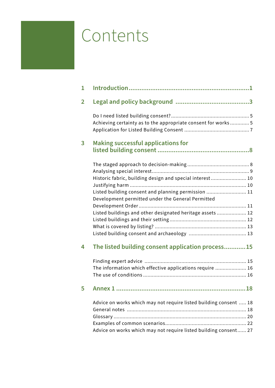## <span id="page-2-0"></span>Contents

| 1              |                                                                   |
|----------------|-------------------------------------------------------------------|
| $\overline{2}$ |                                                                   |
|                | Achieving certainty as to the appropriate consent for works 5     |
|                |                                                                   |
| 3              | <b>Making successful applications for</b>                         |
|                |                                                                   |
|                |                                                                   |
|                |                                                                   |
|                | Historic fabric, building design and special interest 10          |
|                |                                                                   |
|                | Listed building consent and planning permission  11               |
|                | Development permitted under the General Permitted                 |
|                |                                                                   |
|                | Listed buildings and other designated heritage assets 12          |
|                |                                                                   |
|                |                                                                   |
|                |                                                                   |
|                |                                                                   |
| 4              | The listed building consent application process15                 |
|                |                                                                   |
|                | The information which effective applications require  16          |
|                |                                                                   |
| 5              |                                                                   |
|                | Advice on works which may not require listed building consent  18 |
|                |                                                                   |
|                |                                                                   |
|                |                                                                   |
|                | Advice on works which may not require listed building consent 27  |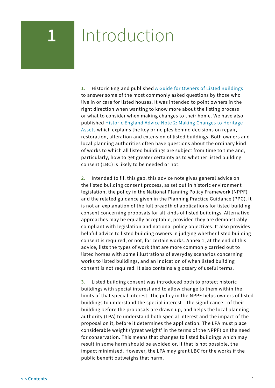## <span id="page-3-0"></span>**1** Introduction

**1.** Historic England published [A Guide for Owners of Listed Buildings](https://historicengland.org.uk/images-books/publications/guide-for-owners-of-listed-buildings/guide-for-owners-listed-buildings/) to answer some of the most commonly asked questions by those who live in or care for listed houses. It was intended to point owners in the right direction when wanting to know more about the listing process or what to consider when making changes to their home. We have also published [Historic England Advice Note 2: Making Changes to Heritage](https://historicengland.org.uk/images-books/publications/making-changes-heritage-assets-advice-note-2/heag023-making-changes-to-heritage-assets/) [Assets](https://historicengland.org.uk/images-books/publications/making-changes-heritage-assets-advice-note-2/heag023-making-changes-to-heritage-assets/) which explains the key principles behind decisions on repair, restoration, alteration and extension of listed buildings. Both owners and local planning authorities often have questions about the ordinary kind of works to which all listed buildings are subject from time to time and, particularly, how to get greater certainty as to whether listed building consent (LBC) is likely to be needed or not.

**2.** Intended to fill this gap, this advice note gives general advice on the listed building consent process, as set out in historic environment legislation, the policy in the National Planning Policy Framework (NPPF) and the related guidance given in the Planning Practice Guidance (PPG). It is not an explanation of the full breadth of applications for listed building consent concerning proposals for all kinds of listed buildings. Alternative approaches may be equally acceptable, provided they are demonstrably compliant with legislation and national policy objectives. It also provides helpful advice to listed building owners in judging whether listed building consent is required, or not, for certain works. Annex 1, at the end of this advice, lists the types of work that are more commonly carried out to listed homes with some illustrations of everyday scenarios concerning works to listed buildings, and an indication of when listed building consent is not required. It also contains a glossary of useful terms.

**3.** Listed building consent was introduced both to protect historic buildings with special interest and to allow change to them within the limits of that special interest. The policy in the NPPF helps owners of listed buildings to understand the special interest – the significance - of their building before the proposals are drawn up, and helps the local planning authority (LPA) to understand both special interest and the impact of the proposal on it, before it determines the application. The LPA must place considerable weight ('great weight' in the terms of the NPPF) on the need for conservation. This means that changes to listed buildings which may result in some harm should be avoided or, if that is not possible, the impact minimised. However, the LPA may grant LBC for the works if the public benefit outweighs that harm.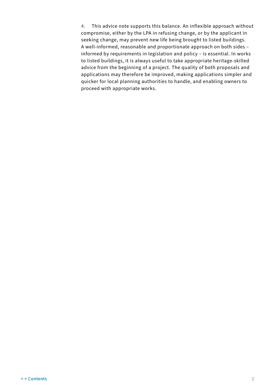**4.** This advice note supports this balance. An inflexible approach without compromise, either by the LPA in refusing change, or by the applicant in seeking change, may prevent new life being brought to listed buildings. A well-informed, reasonable and proportionate approach on both sides – informed by requirements in legislation and policy – is essential. In works to listed buildings, it is always useful to take appropriate heritage-skilled advice from the beginning of a project. The quality of both proposals and applications may therefore be improved, making applications simpler and quicker for local planning authorities to handle, and enabling owners to proceed with appropriate works.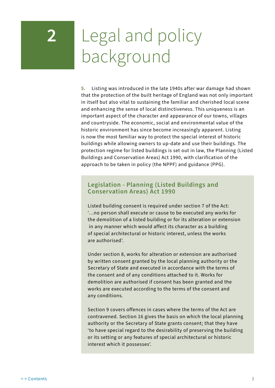## <span id="page-5-0"></span>**2** Legal and policy background

**5.** Listing was introduced in the late 1940s after war damage had shown that the protection of the built heritage of England was not only important in itself but also vital to sustaining the familiar and cherished local scene and enhancing the sense of local distinctiveness. This uniqueness is an important aspect of the character and appearance of our towns, villages and countryside. The economic, social and environmental value of the historic environment has since become increasingly apparent. Listing is now the most familiar way to protect the special interest of historic buildings while allowing owners to up-date and use their buildings. The protection regime for listed buildings is set out in law, the Planning (Listed Buildings and Conservation Areas) Act 1990, with clarification of the approach to be taken in policy (the NPPF) and guidance (PPG).

## **Legislation - Planning (Listed Buildings and Conservation Areas) Act 1990**

Listed building consent is required under section 7 of the Act: '…no person shall execute or cause to be executed any works for the demolition of a listed building or for its alteration or extension in any manner which would affect its character as a building of special architectural or historic interest, unless the works are authorised'.

Under section 8, works for alteration or extension are authorised by written consent granted by the local planning authority or the Secretary of State and executed in accordance with the terms of the consent and of any conditions attached to it. Works for demolition are authorised if consent has been granted and the works are executed according to the terms of the consent and any conditions.

Section 9 covers offences in cases where the terms of the Act are contravened. Section 16 gives the basis on which the local planning authority or the Secretary of State grants consent; that they have 'to have special regard to the desirability of preserving the building or its setting or any features of special architectural or historic interest which it possesses'.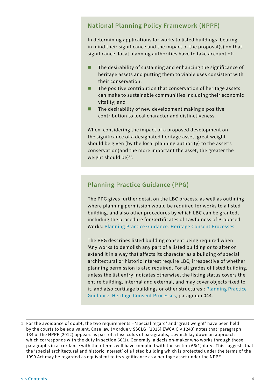## **National Planning Policy Framework (NPPF)**

In determining applications for works to listed buildings, bearing in mind their significance and the impact of the proposal(s) on that significance, local planning authorities have to take account of:

- $\blacksquare$  The desirability of sustaining and enhancing the significance of heritage assets and putting them to viable uses consistent with their conservation;
- $\blacksquare$  The positive contribution that conservation of heritage assets can make to sustainable communities including their economic vitality; and
- $\blacksquare$  The desirability of new development making a positive contribution to local character and distinctiveness.

When 'considering the impact of a proposed development on the significance of a designated heritage asset, great weight should be given (by the local planning authority) to the asset's conservation(and the more important the asset, the greater the weight should be)' $^{\rm l}$ .

## **Planning Practice Guidance (PPG)**

The PPG gives further detail on the LBC process, as well as outlining where planning permission would be required for works to a listed building, and also other procedures by which LBC can be granted, including the procedure for Certificates of Lawfulness of Proposed Works: [Planning Practice Guidance: Heritage Consent Processes.](https://www.gov.uk/guidance/conserving-and-enhancing-the-historic-environment#heritage-consent-processes)

The PPG describes listed building consent being required when 'Any works to demolish any part of a listed building or to alter or extend it in a way that affects its character as a building of special architectural or historic interest require LBC, irrespective of whether planning permission is also required. For all grades of listed building, unless the list entry indicates otherwise, the listing status covers the entire building, internal and external, and may cover objects fixed to it, and also curtilage buildings or other structures': [Planning Practice](https://www.gov.uk/guidance/conserving-and-enhancing-the-historic-environment#heritage-consent-processes)  [Guidance: Heritage Consent Processes](https://www.gov.uk/guidance/conserving-and-enhancing-the-historic-environment#heritage-consent-processes), paragraph 044.

<sup>1</sup> For the avoidance of doubt, the two requirements – 'special regard' and 'great weight' have been held by the courts to be equivalent. Case law (Mordue v SSCLG [2015] EWCA Civ 1243) notes that 'paragraph 134 of the NPPF (2012) appears as part of a fasciculus of paragraphs, …which lay down an approach which corresponds with the duty in section 66(1). Generally, a decision-maker who works through those paragraphs in accordance with their terms will have complied with the section 66(1) duty'. This suggests that the 'special architectural and historic interest' of a listed building which is protected under the terms of the 1990 Act may be regarded as equivalent to its significance as a heritage asset under the NPPF.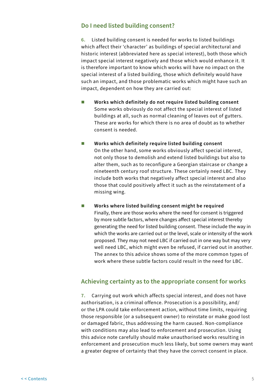## <span id="page-7-0"></span>**Do I need listed building consent?**

**6.** Listed building consent is needed for works to listed buildings which affect their 'character' as buildings of special architectural and historic interest (abbreviated here as special interest), both those which impact special interest negatively and those which would enhance it. It is therefore important to know which works will have no impact on the special interest of a listed building, those which definitely would have such an impact, and those problematic works which might have such an impact, dependent on how they are carried out:

- Works which definitely do not require listed building consent Some works obviously do not affect the special interest of listed buildings at all, such as normal cleaning of leaves out of gutters. These are works for which there is no area of doubt as to whether consent is needed.
- **Works which definitely require listed building consent** On the other hand, some works obviously affect special interest, not only those to demolish and extend listed buildings but also to alter them, such as to reconfigure a Georgian staircase or change a nineteenth century roof structure. These certainly need LBC. They include both works that negatively affect special interest and also those that could positively affect it such as the reinstatement of a missing wing.
- **Works where listed building consent might be required** Finally, there are those works where the need for consent is triggered by more subtle factors, where changes affect special interest thereby generating the need for listed building consent. These include the way in which the works are carried out or the level, scale or intensity of the work proposed. They may not need LBC if carried out in one way but may very well need LBC, which might even be refused, if carried out in another. The annex to this advice shows some of the more common types of work where these subtle factors could result in the need for LBC.

## **Achieving certainty as to the appropriate consent for works**

**7.** Carrying out work which affects special interest, and does not have authorisation, is a criminal offence. Prosecution is a possibility, and/ or the LPA could take enforcement action, without time limits, requiring those responsible (or a subsequent owner) to reinstate or make good lost or damaged fabric, thus addressing the harm caused. Non-compliance with conditions may also lead to enforcement and prosecution. Using this advice note carefully should make unauthorised works resulting in enforcement and prosecution much less likely, but some owners may want a greater degree of certainty that they have the correct consent in place.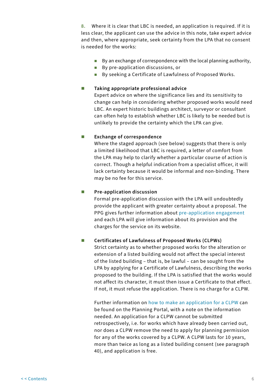**8.** Where it is clear that LBC is needed, an application is required. If it is less clear, the applicant can use the advice in this note, take expert advice and then, where appropriate, seek certainty from the LPA that no consent is needed for the works:

- By an exchange of correspondence with the local planning authority,
- By pre-application discussions, or
- By seeking a Certificate of Lawfulness of Proposed Works.

#### **Taking appropriate professional advice**

Expert advice on where the significance lies and its sensitivity to change can help in considering whether proposed works would need LBC. An expert historic buildings architect, surveyor or consultant can often help to establish whether LBC is likely to be needed but is unlikely to provide the certainty which the LPA can give.

#### **EXChange of correspondence**

Where the staged approach (see below) suggests that there is only a limited likelihood that LBC is required, a letter of comfort from the LPA may help to clarify whether a particular course of action is correct. Though a helpful indication from a specialist officer, it will lack certainty because it would be informal and non-binding. There may be no fee for this service.

#### **Pre-application discussion**

Formal pre-application discussion with the LPA will undoubtedly provide the applicant with greater certainty about a proposal. The PPG gives further information about [pre-application engagement](https://www.gov.uk/guidance/before-submitting-an-application#the-value-of-pre-application-engagement) and each LPA will give information about its provision and the charges for the service on its website.

#### **Certificates of Lawfulness of Proposed Works (CLPWs)**

Strict certainty as to whether proposed works for the alteration or extension of a listed building would not affect the special interest of the listed building – that is, be lawful – can be sought from the LPA by applying for a Certificate of Lawfulness, describing the works proposed to the building. If the LPA is satisfied that the works would not affect its character, it must then issue a Certificate to that effect. If not, it must refuse the application. There is no charge for a CLPW.

Further information on [how to make an application for a CLPW c](https://ecab.planningportal.co.uk/uploads/1app/guidance/guidance_note-certificates_of_lawfulness_listed_building.pdf)an be found on the Planning Portal, with a note on the information needed. An application for a CLPW cannot be submitted retrospectively, i.e. for works which have already been carried out, nor does a CLPW remove the need to apply for planning permission for any of the works covered by a CLPW. A CLPW lasts for 10 years, more than twice as long as a listed building consent (see paragraph 40), and application is free.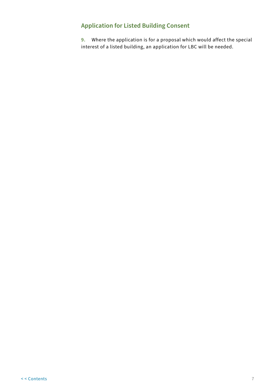## <span id="page-9-0"></span>**Application for Listed Building Consent**

**9.** Where the application is for a proposal which would affect the special interest of a listed building, an application for LBC will be needed.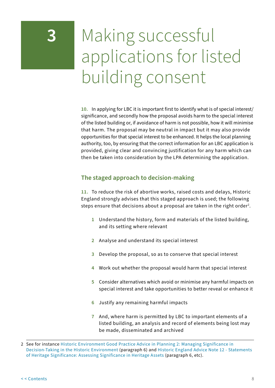## <span id="page-10-0"></span>**3** Making successful applications for listed building consent

**10.** In applying for LBC it is important first to identify what is of special interest/ significance, and secondly how the proposal avoids harm to the special interest of the listed building or, if avoidance of harm is not possible, how it will minimise that harm. The proposal may be neutral in impact but it may also provide opportunities for that special interest to be enhanced. It helps the local planning authority, too, by ensuring that the correct information for an LBC application is provided, giving clear and convincing justification for any harm which can then be taken into consideration by the LPA determining the application.

## **The staged approach to decision-making**

**11.** To reduce the risk of abortive works, raised costs and delays, Historic England strongly advises that this staged approach is used; the following steps ensure that decisions about a proposal are taken in the right order $^{\text{2}}$ .

- **1** Understand the history, form and materials of the listed building, and its setting where relevant
- **2** Analyse and understand its special interest
- **3** Develop the proposal, so as to conserve that special interest
- **4** Work out whether the proposal would harm that special interest
- **5** Consider alternatives which avoid or minimise any harmful impacts on special interest and take opportunities to better reveal or enhance it
- **6** Justify any remaining harmful impacts
- **7** And, where harm is permitted by LBC to important elements of a listed building, an analysis and record of elements being lost may be made, disseminated and archived

<sup>2</sup> See for instance [Historic Environment Good Practice Advice in Planning 2: Managing Significance in](https://historicengland.org.uk/images-books/publications/gpa2-managing-significance-in-decision-taking/gpa2/)  [Decision-Taking in the Historic Environment](https://historicengland.org.uk/images-books/publications/gpa2-managing-significance-in-decision-taking/gpa2/) (paragraph 6) and [Historic England Advice Note 12 - Statements](https://historicengland.org.uk/images-books/publications/statements-heritage-significance-advice-note-12/)  [of Heritage Significance: Assessing Significance in Heritage Assets](https://historicengland.org.uk/images-books/publications/statements-heritage-significance-advice-note-12/) (paragraph 6, etc).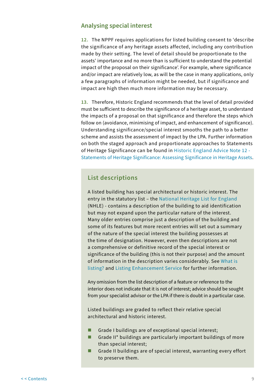### <span id="page-11-0"></span>**Analysing special interest**

**12.** The NPPF requires applications for listed building consent to 'describe the significance of any heritage assets affected, including any contribution made by their setting. The level of detail should be proportionate to the assets' importance and no more than is sufficient to understand the potential impact of the proposal on their significance'. For example, where significance and/or impact are relatively low, as will be the case in many applications, only a few paragraphs of information might be needed, but if significance and impact are high then much more information may be necessary.

**13.** Therefore, Historic England recommends that the level of detail provided must be sufficient to describe the significance of a heritage asset, to understand the impacts of a proposal on that significance and therefore the steps which follow on (avoidance, minimising of impact, and enhancement of significance). Understanding significance/special interest smooths the path to a better scheme and assists the assessment of impact by the LPA. Further information on both the staged approach and proportionate approaches to Statements of Heritage Significance can be found in [Historic England Advice Note 12 -](https://historicengland.org.uk/images-books/publications/statements-heritage-significance-advice-note-12/)  [Statements of Heritage Significance: Assessing Significance in Heritage Assets](https://historicengland.org.uk/images-books/publications/statements-heritage-significance-advice-note-12/).

## **List descriptions**

A listed building has special architectural or historic interest. The entry in the statutory list – the [National Heritage List for England](https://historicengland.org.uk/listing/the-list/) (NHLE) - contains a description of the building to aid identification but may not expand upon the particular nature of the interest. Many older entries comprise just a description of the building and some of its features but more recent entries will set out a summary of the nature of the special interest the building possesses at the time of designation. However, even then descriptions are not a comprehensive or definitive record of the special interest or significance of the building (this is not their purpose) and the amount of information in the description varies considerably. See [What is](https://historicengland.org.uk/listing/what-is-designation/)  [listing?](https://historicengland.org.uk/listing/what-is-designation/) and [Listing Enhancement Service](https://historicengland.org.uk/services-skills/our-planning-services/enhanced-advisory-services/) for further information.

Any omission from the list description of a feature or reference to the interior does not indicate that it is not of interest; advice should be sought from your specialist advisor or the LPA if there is doubt in a particular case.

Listed buildings are graded to reflect their relative special architectural and historic interest.

- Grade I buildings are of exceptional special interest;
- Grade II\* buildings are particularly important buildings of more than special interest;
- Grade II buildings are of special interest, warranting every effort to preserve them.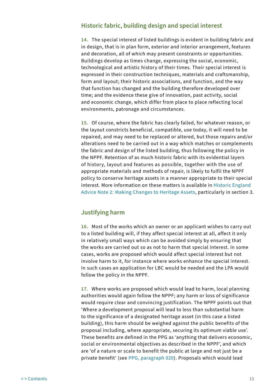### <span id="page-12-0"></span>**Historic fabric, building design and special interest**

**14.** The special interest of listed buildings is evident in building fabric and in design, that is in plan form, exterior and interior arrangement, features and decoration, all of which may present constraints or opportunities. Buildings develop as times change, expressing the social, economic, technological and artistic history of their times. Their special interest is expressed in their construction techniques, materials and craftsmanship, form and layout; their historic associations, and function, and the way that function has changed and the building therefore developed over time; and the evidence these give of innovation, past activity, social and economic change, which differ from place to place reflecting local environments, patronage and circumstances.

**15.** Of course, where the fabric has clearly failed, for whatever reason, or the layout constricts beneficial, compatible, use today, it will need to be repaired, and may need to be replaced or altered, but those repairs and/or alterations need to be carried out in a way which matches or complements the fabric and design of the listed building, thus following the policy in the NPPF. Retention of as much historic fabric with its evidential layers of history, layout and features as possible, together with the use of appropriate materials and methods of repair, is likely to fulfil the NPPF policy to conserve heritage assets in a manner appropriate to their special interest. More information on these matters is available in [Historic England](https://historicengland.org.uk/images-books/publications/making-changes-heritage-assets-advice-note-2/heag023-making-changes-to-heritage-assets/)  [Advice Note 2: Making Changes to Heritage Assets,](https://historicengland.org.uk/images-books/publications/making-changes-heritage-assets-advice-note-2/heag023-making-changes-to-heritage-assets/) particularly in section 3.

## **Justifying harm**

**16.** Most of the works which an owner or an applicant wishes to carry out to a listed building will, if they affect special interest at all, affect it only in relatively small ways which can be avoided simply by ensuring that the works are carried out so as not to harm that special interest. In some cases, works are proposed which would affect special interest but not involve harm to it, for instance where works enhance the special interest. In such cases an application for LBC would be needed and the LPA would follow the policy in the NPPF.

**17.** Where works are proposed which would lead to harm, local planning authorities would again follow the NPPF; any harm or loss of significance would require clear and convincing justification. The NPPF points out that 'Where a development proposal will lead to less than substantial harm to the significance of a designated heritage asset (in this case a listed building), this harm should be weighed against the public benefits of the proposal including, where appropriate, securing its optimum viable use'. These benefits are defined in the PPG as 'anything that delivers economic, social or environmental objectives as described in the NPPF', and which are 'of a nature or scale to benefit the public at large and not just be a private benefit' (see [PPG, paragraph 020](https://www.gov.uk/guidance/conserving-and-enhancing-the-historic-environment#decision-making-historic-environment)). Proposals which would lead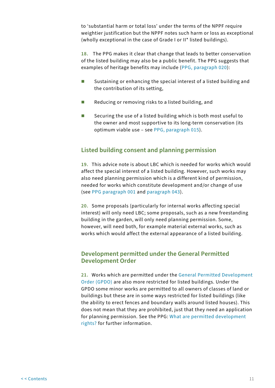<span id="page-13-0"></span>to 'substantial harm or total loss' under the terms of the NPPF require weightier justification but the NPPF notes such harm or loss as exceptional (wholly exceptional in the case of Grade I or II\* listed buildings).

**18.** The PPG makes it clear that change that leads to better conservation of the listed building may also be a public benefit. The PPG suggests that examples of heritage benefits may include ([PPG, paragraph 020](https://www.gov.uk/guidance/conserving-and-enhancing-the-historic-environment#decision-making-historic-environment)):

- Sustaining or enhancing the special interest of a listed building and the contribution of its setting,
- $\blacksquare$  Reducing or removing risks to a listed building, and
- Securing the use of a listed building which is both most useful to the owner and most supportive to its long-term conservation (its optimum viable use – see [PPG, paragraph 015](https://www.gov.uk/guidance/conserving-and-enhancing-the-historic-environment#decision-making-historic-environment)).

## **Listed building consent and planning permission**

**19.** This advice note is about LBC which is needed for works which would affect the special interest of a listed building. However, such works may also need planning permission which is a different kind of permission, needed for works which constitute development and/or change of use (see [PPG paragraph 001](https://www.gov.uk/guidance/when-is-permission-required) and [paragraph 043\)](https://www.gov.uk/guidance/conserving-and-enhancing-the-historic-environment#heritage-consent-processes).

**20.** Some proposals (particularly for internal works affecting special interest) will only need LBC; some proposals, such as a new freestanding building in the garden, will only need planning permission. Some, however, will need both, for example material external works, such as works which would affect the external appearance of a listed building.

## **Development permitted under the General Permitted Development Order**

**21.** Works which are permitted under the [General Permitted Development](https://www.legislation.gov.uk/uksi/2020/756/contents/made)  [Order \(GPDO\)](https://www.legislation.gov.uk/uksi/2020/756/contents/made) are also more restricted for listed buildings. Under the GPDO some minor works are permitted to all owners of classes of land or buildings but these are in some ways restricted for listed buildings (like the ability to erect fences and boundary walls around listed houses). This does not mean that they are prohibited, just that they need an application for planning permission. See the PPG: [What are permitted development](https://www.gov.uk/guidance/when-is-permission-required#What-are-permitted-development-rights)  [rights?](https://www.gov.uk/guidance/when-is-permission-required#What-are-permitted-development-rights) for further information.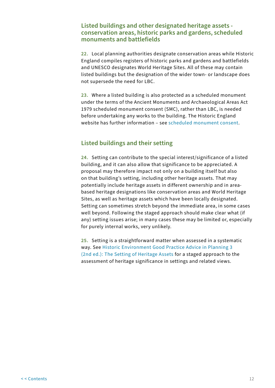## <span id="page-14-0"></span>**Listed buildings and other designated heritage assets conservation areas, historic parks and gardens, scheduled monuments and battlefields**

**22.** Local planning authorities designate conservation areas while Historic England compiles registers of historic parks and gardens and battlefields and UNESCO designates World Heritage Sites. All of these may contain listed buildings but the designation of the wider town- or landscape does not supersede the need for LBC.

**23.** Where a listed building is also protected as a scheduled monument under the terms of the Ancient Monuments and Archaeological Areas Act 1979 scheduled monument consent (SMC), rather than LBC, is needed before undertaking any works to the building. The Historic England website has further information – see [scheduled monument consent](https://historicengland.org.uk/advice/planning/consents/smc/).

## **Listed buildings and their setting**

**24.** Setting can contribute to the special interest/significance of a listed building, and it can also allow that significance to be appreciated. A proposal may therefore impact not only on a building itself but also on that building's setting, including other heritage assets. That may potentially include heritage assets in different ownership and in areabased heritage designations like conservation areas and World Heritage Sites, as well as heritage assets which have been locally designated. Setting can sometimes stretch beyond the immediate area, in some cases well beyond. Following the staged approach should make clear what (if any) setting issues arise; in many cases these may be limited or, especially for purely internal works, very unlikely.

**25.** Setting is a straightforward matter when assessed in a systematic way. See [Historic Environment Good Practice Advice in Planning 3](https://historicengland.org.uk/images-books/publications/gpa3-setting-of-heritage-assets/)  [\(2nd ed.\): The Setting of Heritage Assets](https://historicengland.org.uk/images-books/publications/gpa3-setting-of-heritage-assets/) for a staged approach to the assessment of heritage significance in settings and related views.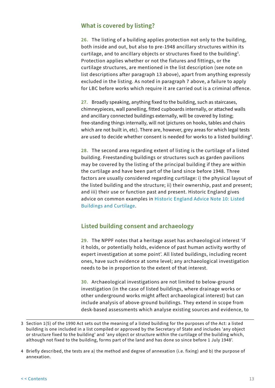## <span id="page-15-0"></span>**What is covered by listing?**

**26.** The listing of a building applies protection not only to the building, both inside and out, but also to pre-1948 ancillary structures within its curtilage, and to ancillary objects or structures fixed to the building $^3.$ Protection applies whether or not the fixtures and fittings, or the curtilage structures, are mentioned in the list description (see note on list descriptions after paragraph 13 above), apart from anything expressly excluded in the listing. As noted in paragraph 7 above, a failure to apply for LBC before works which require it are carried out is a criminal offence.

**27.** Broadly speaking, anything fixed to the building, such as staircases, chimneypieces, wall panelling, fitted cupboards internally, or attached walls and ancillary connected buildings externally, will be covered by listing; free-standing things internally, will not (pictures on hooks, tables and chairs which are not built in, etc). There are, however, grey areas for which legal tests are used to decide whether consent is needed for works to a listed building $^4$ .

**28.** The second area regarding extent of listing is the curtilage of a listed building. Freestanding buildings or structures such as garden pavilions may be covered by the listing of the principal building if they are within the curtilage and have been part of the land since before 1948. Three factors are usually considered regarding curtilage: i) the physical layout of the listed building and the structure; ii) their ownership, past and present; and iii) their use or function past and present. Historic England gives advice on common examples in [Historic England Advice Note 10: Listed](https://historicengland.org.uk/images-books/publications/listed-buildings-and-curtilage-advice-note-10/)  [Buildings and Curtilage.](https://historicengland.org.uk/images-books/publications/listed-buildings-and-curtilage-advice-note-10/)

## **Listed building consent and archaeology**

**29.** The NPPF notes that a heritage asset has archaeological interest 'if it holds, or potentially holds, evidence of past human activity worthy of expert investigation at some point'. All listed buildings, including recent ones, have such evidence at some level; any archaeological investigation needs to be in proportion to the extent of that interest.

**30.** Archaeological investigations are not limited to below-ground investigation (in the case of listed buildings, where drainage works or other underground works might affect archaeological interest) but can include analysis of above-ground buildings. They extend in scope from desk-based assessments which analyse existing sources and evidence, to

<sup>3</sup> Section 1(5) of the 1990 Act sets out the meaning of a listed building for the purposes of the Act: a listed building is one included in a list compiled or approved by the Secretary of State and includes 'any object or structure fixed to the building' and 'any object or structure within the curtilage of the building which, although not fixed to the building, forms part of the land and has done so since before 1 July 1948'.

<sup>4</sup> Briefly described, the tests are a) the method and degree of annexation (i.e. fixing) and b) the purpose of annexation.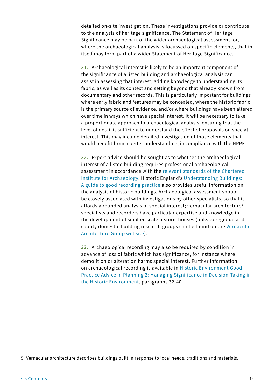detailed on-site investigation. These investigations provide or contribute to the analysis of heritage significance. The Statement of Heritage Significance may be part of the wider archaeological assessment, or, where the archaeological analysis is focussed on specific elements, that in itself may form part of a wider Statement of Heritage Significance.

**31.** Archaeological interest is likely to be an important component of the significance of a listed building and archaeological analysis can assist in assessing that interest, adding knowledge to understanding its fabric, as well as its context and setting beyond that already known from documentary and other records. This is particularly important for buildings where early fabric and features may be concealed, where the historic fabric is the primary source of evidence, and/or where buildings have been altered over time in ways which have special interest. It will be necessary to take a proportionate approach to archaeological analysis, ensuring that the level of detail is sufficient to understand the effect of proposals on special interest. This may include detailed investigation of those elements that would benefit from a better understanding, in compliance with the NPPF.

**32.** Expert advice should be sought as to whether the archaeological interest of a listed building requires professional archaeological assessment in accordance with the [relevant standards of the Chartered](https://www.archaeologists.net/codes/cifa)  [Institute for Archaeology](https://www.archaeologists.net/codes/cifa). Historic England's [Understanding Buildings:](https://historicengland.org.uk/images-books/publications/understanding-historic-buildings/heag099-understanding-historic-buildings/)  [A guide to good recording practice](https://historicengland.org.uk/images-books/publications/understanding-historic-buildings/heag099-understanding-historic-buildings/) also provides useful information on the analysis of historic buildings. Archaeological assessment should be closely associated with investigations by other specialists, so that it affords a rounded analysis of special interest; vernacular architecture<sup>5</sup> specialists and recorders have particular expertise and knowledge in the development of smaller-scale historic houses (links to regional and county domestic building research groups can be found on the [Vernacular](https://www.vag.org.uk/online-resources.htm)  [Architecture Group website](https://www.vag.org.uk/online-resources.htm)).

**33.** Archaeological recording may also be required by condition in advance of loss of fabric which has significance, for instance where demolition or alteration harms special interest. Further information on archaeological recording is available in [Historic Environment Good](https://historicengland.org.uk/images-books/publications/gpa2-managing-significance-in-decision-taking/gpa2/)  [Practice Advice in Planning 2: Managing Significance in Decision-Taking in](https://historicengland.org.uk/images-books/publications/gpa2-managing-significance-in-decision-taking/gpa2/)  [the Historic Environment](https://historicengland.org.uk/images-books/publications/gpa2-managing-significance-in-decision-taking/gpa2/), paragraphs 32-40.

<sup>5</sup> Vernacular architecture describes buildings built in response to local needs, traditions and materials.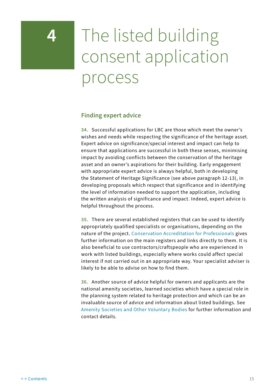## <span id="page-17-0"></span>**4** The listed building consent application process

### **Finding expert advice**

**34.** Successful applications for LBC are those which meet the owner's wishes and needs while respecting the significance of the heritage asset. Expert advice on significance/special interest and impact can help to ensure that applications are successful in both these senses, minimising impact by avoiding conflicts between the conservation of the heritage asset and an owner's aspirations for their building. Early engagement with appropriate expert advice is always helpful, both in developing the Statement of Heritage Significance (see above paragraph 12-13), in developing proposals which respect that significance and in identifying the level of information needed to support the application, including the written analysis of significance and impact. Indeed, expert advice is helpful throughout the process.

**35.** There are several established registers that can be used to identify appropriately qualified specialists or organisations, depending on the nature of the project. [Conservation Accreditation for Professionals](https://historicengland.org.uk/services-skills/training-skills/heritageskills-cpd/conservation-accreditation-for-professionals/) gives further information on the main registers and links directly to them. It is also beneficial to use contractors/craftspeople who are experienced in work with listed buildings, especially where works could affect special interest if not carried out in an appropriate way. Your specialist adviser is likely to be able to advise on how to find them.

**36.** Another source of advice helpful for owners and applicants are the national amenity societies, learned societies which have a special role in the planning system related to heritage protection and which can be an invaluable source of advice and information about listed buildings. See [Amenity Societies and Other Voluntary Bodies](https://historicengland.org.uk/advice/hpg/publicandheritagebodies/amenitysocieties/) for further information and contact details.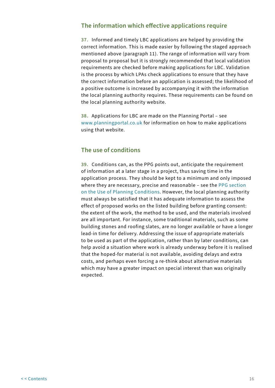### <span id="page-18-0"></span>**The information which effective applications require**

**37.** Informed and timely LBC applications are helped by providing the correct information. This is made easier by following the staged approach mentioned above (paragraph 11). The range of information will vary from proposal to proposal but it is strongly recommended that local validation requirements are checked before making applications for LBC. Validation is the process by which LPAs check applications to ensure that they have the correct information before an application is assessed; the likelihood of a positive outcome is increased by accompanying it with the information the local planning authority requires. These requirements can be found on the local planning authority website.

**38.** Applications for LBC are made on the Planning Portal – see [www.planningportal.co.uk](https://www.planningportal.co.uk/) for information on how to make applications using that website.

## **The use of conditions**

**39.** Conditions can, as the PPG points out, anticipate the requirement of information at a later stage in a project, thus saving time in the application process. They should be kept to a minimum and only imposed where they are necessary, precise and reasonable – see the [PPG section](https://www.gov.uk/guidance/use-of-planning-conditions)  [on the Use of Planning Conditions.](https://www.gov.uk/guidance/use-of-planning-conditions) However, the local planning authority must always be satisfied that it has adequate information to assess the effect of proposed works on the listed building before granting consent: the extent of the work, the method to be used, and the materials involved are all important. For instance, some traditional materials, such as some building stones and roofing slates, are no longer available or have a longer lead-in time for delivery. Addressing the issue of appropriate materials to be used as part of the application, rather than by later conditions, can help avoid a situation where work is already underway before it is realised that the hoped-for material is not available, avoiding delays and extra costs, and perhaps even forcing a re-think about alternative materials which may have a greater impact on special interest than was originally expected.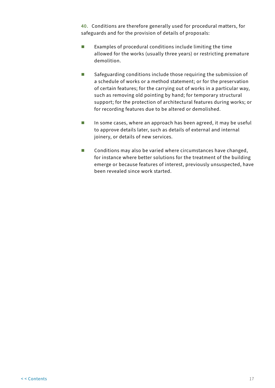**40.** Conditions are therefore generally used for procedural matters, for safeguards and for the provision of details of proposals:

- Examples of procedural conditions include limiting the time allowed for the works (usually three years) or restricting premature demolition.
- Safeguarding conditions include those requiring the submission of a schedule of works or a method statement; or for the preservation of certain features; for the carrying out of works in a particular way, such as removing old pointing by hand; for temporary structural support; for the protection of architectural features during works; or for recording features due to be altered or demolished.
- **In some cases, where an approach has been agreed, it may be useful** to approve details later, such as details of external and internal joinery, or details of new services.
- Conditions may also be varied where circumstances have changed, for instance where better solutions for the treatment of the building emerge or because features of interest, previously unsuspected, have been revealed since work started.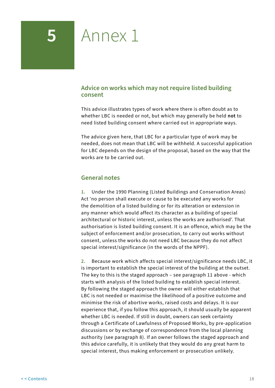## <span id="page-20-0"></span>**5** Annex 1

## **Advice on works which may not require listed building consent**

This advice illustrates types of work where there is often doubt as to whether LBC is needed or not, but which may generally be held **not** to need listed building consent where carried out in appropriate ways.

The advice given here, that LBC for a particular type of work may be needed, does not mean that LBC will be withheld. A successful application for LBC depends on the design of the proposal, based on the way that the works are to be carried out.

### **General notes**

**1.** Under the 1990 Planning (Listed Buildings and Conservation Areas) Act 'no person shall execute or cause to be executed any works for the demolition of a listed building or for its alteration or extension in any manner which would affect its character as a building of special architectural or historic interest, unless the works are authorised'. That authorisation is listed building consent. It is an offence, which may be the subject of enforcement and/or prosecution, to carry out works without consent, unless the works do not need LBC because they do not affect special interest/significance (in the words of the NPPF).

**2.** Because work which affects special interest/significance needs LBC, it is important to establish the special interest of the building at the outset. The key to this is the staged approach – see paragraph 11 above - which starts with analysis of the listed building to establish special interest. By following the staged approach the owner will either establish that LBC is not needed or maximise the likelihood of a positive outcome and minimise the risk of abortive works, raised costs and delays. It is our experience that, if you follow this approach, it should usually be apparent whether LBC is needed. If still in doubt, owners can seek certainty through a Certificate of Lawfulness of Proposed Works, by pre-application discussions or by exchange of correspondence from the local planning authority (see paragraph 8). If an owner follows the staged approach and this advice carefully, it is unlikely that they would do any great harm to special interest, thus making enforcement or prosecution unlikely.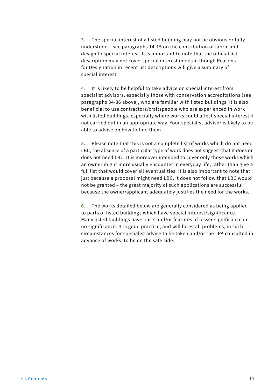**3.** The special interest of a listed building may not be obvious or fully understood – see paragraphs 14-15 on the contribution of fabric and design to special interest. It is important to note that the official list description may not cover special interest in detail though Reasons for Designation in recent list descriptions will give a summary of special interest.

**4.** It is likely to be helpful to take advice on special interest from specialist advisors, especially those with conservation accreditations (see paragraphs 34-36 above), who are familiar with listed buildings. It is also beneficial to use contractors/craftspeople who are experienced in work with listed buildings, especially where works could affect special interest if not carried out in an appropriate way. Your specialist advisor is likely to be able to advise on how to find them.

**5.** Please note that this is not a complete list of works which do not need LBC; the absence of a particular type of work does not suggest that it does or does not need LBC. It is moreover intended to cover only those works which an owner might more usually encounter in everyday life, rather than give a full list that would cover all eventualities. It is also important to note that just because a proposal might need LBC, it does not follow that LBC would not be granted – the great majority of such applications are successful because the owner/applicant adequately justifies the need for the works.

**6.** The works detailed below are generally considered as being applied to parts of listed buildings which have special interest/significance. Many listed buildings have parts and/or features of lesser significance or no significance. It is good practice, and will forestall problems, in such circumstances for specialist advice to be taken and/or the LPA consulted in advance of works, to be on the safe side.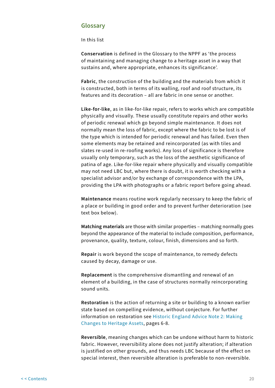#### <span id="page-22-0"></span>**Glossary**

In this list

**Conservation** is defined in the Glossary to the NPPF as 'the process of maintaining and managing change to a heritage asset in a way that sustains and, where appropriate, enhances its significance'.

**Fabric**, the construction of the building and the materials from which it is constructed, both in terms of its walling, roof and roof structure, its features and its decoration – all are fabric in one sense or another.

**Like-for-like**, as in like-for-like repair, refers to works which are compatible physically and visually. These usually constitute repairs and other works of periodic renewal which go beyond simple maintenance. It does not normally mean the loss of fabric, except where the fabric to be lost is of the type which is intended for periodic renewal and has failed. Even then some elements may be retained and reincorporated (as with tiles and slates re-used in re-roofing works). Any loss of significance is therefore usually only temporary, such as the loss of the aesthetic significance of patina of age. Like-for-like repair where physically and visually compatible may not need LBC but, where there is doubt, it is worth checking with a specialist advisor and/or by exchange of correspondence with the LPA, providing the LPA with photographs or a fabric report before going ahead.

**Maintenance** means routine work regularly necessary to keep the fabric of a place or building in good order and to prevent further deterioration (see text box below).

**Matching materials** are those with similar properties – matching normally goes beyond the appearance of the material to include composition, performance, provenance, quality, texture, colour, finish, dimensions and so forth.

**Repair** is work beyond the scope of maintenance, to remedy defects caused by decay, damage or use.

**Replacement** is the comprehensive dismantling and renewal of an element of a building, in the case of structures normally reincorporating sound units.

**Restoration** is the action of returning a site or building to a known earlier state based on compelling evidence, without conjecture. For further information on restoration see [Historic England Advice Note 2: Making](https://historicengland.org.uk/images-books/publications/making-changes-heritage-assets-advice-note-2/heag023-making-changes-to-heritage-assets/)  [Changes to Heritage Assets,](https://historicengland.org.uk/images-books/publications/making-changes-heritage-assets-advice-note-2/heag023-making-changes-to-heritage-assets/) pages 6-8.

**Reversible**, meaning changes which can be undone without harm to historic fabric. However, reversibility alone does not justify alteration; if alteration is justified on other grounds, and thus needs LBC because of the effect on special interest, then reversible alteration is preferable to non-reversible.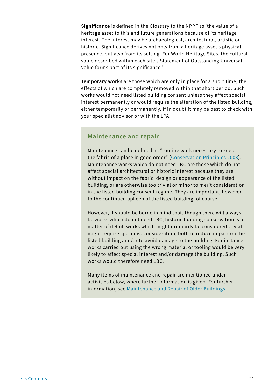**Significance** is defined in the Glossary to the NPPF as 'the value of a heritage asset to this and future generations because of its heritage interest. The interest may be archaeological, architectural, artistic or historic. Significance derives not only from a heritage asset's physical presence, but also from its setting. For World Heritage Sites, the cultural value described within each site's Statement of Outstanding Universal Value forms part of its significance.'

**Temporary works** are those which are only in place for a short time, the effects of which are completely removed within that short period. Such works would not need listed building consent unless they affect special interest permanently or would require the alteration of the listed building, either temporarily or permanently. If in doubt it may be best to check with your specialist advisor or with the LPA.

#### **Maintenance and repair**

Maintenance can be defined as "routine work necessary to keep the fabric of a place in good order" [\(Conservation Principles 2008\)](https://historicengland.org.uk/images-books/publications/conservation-principles-sustainable-management-historic-environment/). Maintenance works which do not need LBC are those which do not affect special architectural or historic interest because they are without impact on the fabric, design or appearance of the listed building, or are otherwise too trivial or minor to merit consideration in the listed building consent regime. They are important, however, to the continued upkeep of the listed building, of course.

However, it should be borne in mind that, though there will always be works which do not need LBC, historic building conservation is a matter of detail; works which might ordinarily be considered trivial might require specialist consideration, both to reduce impact on the listed building and/or to avoid damage to the building. For instance, works carried out using the wrong material or tooling would be very likely to affect special interest and/or damage the building. Such works would therefore need LBC.

Many items of maintenance and repair are mentioned under activities below, where further information is given. For further information, see [Maintenance and Repair of Older Buildings.](https://historicengland.org.uk/advice/technical-advice/buildings/maintenance-and-repair-of-older-buildings/)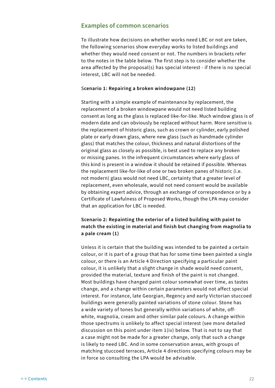#### <span id="page-24-0"></span>**Examples of common scenarios**

To illustrate how decisions on whether works need LBC or not are taken, the following scenarios show everyday works to listed buildings and whether they would need consent or not. The numbers in brackets refer to the notes in the table below. The first step is to consider whether the area affected by the proposal(s) has special interest - if there is no special interest, LBC will not be needed.

#### S**cenario 1: Repairing a broken windowpane (12)**

Starting with a simple example of maintenance by replacement, the replacement of a broken windowpane would not need listed building consent as long as the glass is replaced like-for-like. Much window glass is of modern date and can obviously be replaced without harm. More sensitive is the replacement of historic glass, such as crown or cylinder, early polished plate or early drawn glass, where new glass (such as handmade cylinder glass) that matches the colour, thickness and natural distortions of the original glass as closely as possible, is best used to replace any broken or missing panes. In the infrequent circumstances where early glass of this kind is present in a window it should be retained if possible. Whereas the replacement like-for-like of one or two broken panes of historic (i.e. not modern) glass would not need LBC, certainty that a greater level of replacement, even wholesale, would not need consent would be available by obtaining expert advice, through an exchange of correspondence or by a Certificate of Lawfulness of Proposed Works, though the LPA may consider that an application for LBC is needed.

### **Scenario 2: Repainting the exterior of a listed building with paint to match the existing in material and finish but changing from magnolia to a pale cream (1)**

Unless it is certain that the building was intended to be painted a certain colour, or it is part of a group that has for some time been painted a single colour, or there is an Article 4 Direction specifying a particular paint colour, it is unlikely that a slight change in shade would need consent, provided the material, texture and finish of the paint is not changed. Most buildings have changed paint colour somewhat over time, as tastes change, and a change within certain parameters would not affect special interest. For instance, late Georgian, Regency and early Victorian stuccoed buildings were generally painted variations of stone colour. Stone has a wide variety of tones but generally within variations of white, offwhite, magnolia, cream and other similar pale colours. A change within those spectrums is unlikely to affect special interest (see more detailed discussion on this point under item 1(iv) below. That is not to say that a case might not be made for a greater change, only that such a change is likely to need LBC. And in some conservation areas, with groups of matching stuccoed terraces, Article 4 directions specifying colours may be in force so consulting the LPA would be advisable.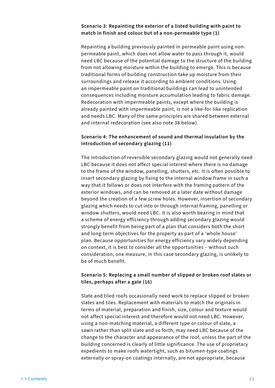#### **Scenario 3: Repainting the exterior of a listed building with paint to match in finish and colour but of a non-permeable type (1)**

Repainting a building previously painted in permeable paint using nonpermeable paint, which does not allow water to pass through it, would need LBC because of the potential damage to the structure of the building from not allowing moisture within the building to emerge. This is because traditional forms of building construction take up moisture from their surroundings and release it according to ambient conditions. Using an impermeable paint on traditional buildings can lead to unintended consequences including moisture accumulation leading to fabric damage. Redecoration with impermeable paints, except where the building is already painted with impermeable paint, is not a like-for-like replication and needs LBC. Many of the same principles are shared between external and internal redecoration (see also note 38 below).

#### **Scenario 4: The enhancement of sound and thermal insulation by the introduction of secondary glazing (11)**

The introduction of reversible secondary glazing would not generally need LBC because it does not affect special interest where there is no damage to the frame of the window, panelling, shutters, etc. It is often possible to insert secondary glazing by fixing to the internal window frame in such a way that it follows or does not interfere with the framing pattern of the exterior windows, and can be removed at a later date without damage beyond the creation of a few screw holes. However, insertion of secondary glazing which needs to cut into or through internal framing, panelling or window shutters, would need LBC. It is also worth bearing in mind that a scheme of energy efficiency through adding secondary glazing would strongly benefit from being part of a plan that considers both the short and long-term objectives for the property as part of a 'whole house' plan. Because opportunities for energy efficiency vary widely depending on context, it is best to consider all the opportunities – without such consideration, one measure, in this case secondary glazing, is unlikely to be of much benefit.

#### **Scenario 5: Replacing a small number of slipped or broken roof slates or tiles, perhaps after a gale (16)**

Slate and tiled roofs occasionally need work to replace slipped or broken slates and tiles. Replacement with materials to match the originals in terms of material, preparation and finish, size, colour and texture would not affect special interest and therefore would not need LBC. However, using a non-matching material, a different type or colour of slate, a sawn rather than split slate and so forth, may need LBC because of the change to the character and appearance of the roof, unless the part of the building concerned is clearly of little significance. The use of proprietary expedients to make roofs watertight, such as bitumen-type coatings externally or spray-on coatings internally, are not appropriate, because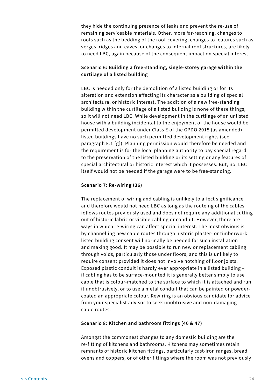they hide the continuing presence of leaks and prevent the re-use of remaining serviceable materials. Other, more far-reaching, changes to roofs such as the bedding of the roof-covering, changes to features such as verges, ridges and eaves, or changes to internal roof structures, are likely to need LBC, again because of the consequent impact on special interest.

#### **Scenario 6: Building a free-standing, single-storey garage within the curtilage of a listed building**

LBC is needed only for the demolition of a listed building or for its alteration and extension affecting its character as a building of special architectural or historic interest. The addition of a new free-standing building within the curtilage of a listed building is none of these things, so it will not need LBC. While development in the curtilage of an unlisted house with a building incidental to the enjoyment of the house would be permitted development under Class E of the GPDO 2015 (as amended), listed buildings have no such permitted development rights (see paragraph E.1 [g]). Planning permission would therefore be needed and the requirement is for the local planning authority to pay special regard to the preservation of the listed building or its setting or any features of special architectural or historic interest which it possesses. But, no, LBC itself would not be needed if the garage were to be free-standing.

#### **Scenario 7: Re-wiring (36)**

The replacement of wiring and cabling is unlikely to affect significance and therefore would not need LBC as long as the routeing of the cables follows routes previously used and does not require any additional cutting out of historic fabric or visible cabling or conduit. However, there are ways in which re-wiring can affect special interest. The most obvious is by channelling new cable routes through historic plaster- or timberwork; listed building consent will normally be needed for such installation and making good. It may be possible to run new or replacement cabling through voids, particularly those under floors, and this is unlikely to require consent provided it does not involve notching of floor joists. Exposed plastic conduit is hardly ever appropriate in a listed building – if cabling has to be surface-mounted it is generally better simply to use cable that is colour-matched to the surface to which it is attached and run it unobtrusively, or to use a metal conduit that can be painted or powdercoated an appropriate colour. Rewiring is an obvious candidate for advice from your specialist advisor to seek unobtrusive and non-damaging cable routes.

#### **Scenario 8: Kitchen and bathroom fittings (46 & 47)**

Amongst the commonest changes to any domestic building are the re-fitting of kitchens and bathrooms. Kitchens may sometimes retain remnants of historic kitchen fittings, particularly cast-iron ranges, bread ovens and coppers, or of other fittings where the room was not previously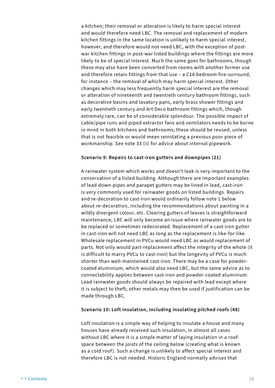a kitchen; their removal or alteration is likely to harm special interest and would therefore need LBC. The removal and replacement of modern kitchen fittings in the same location is unlikely to harm special interest, however, and therefore would not need LBC, with the exception of postwar kitchen fittings in post-war listed buildings where the fittings are more likely to be of special interest. Much the same goes for bathrooms, though these may also have been converted from rooms with another former use and therefore retain fittings from that use – a C18 bedroom fire-surround, for instance – the removal of which may harm special interest. Other changes which may less frequently harm special interest are the removal or alteration of nineteenth and twentieth century bathroom fittings, such as decorative basins and lavatory pans, early brass shower fittings and early twentieth century and Art Deco bathroom fittings which, though extremely rare, can be of considerable splendour. The possible impact of cable/pipe runs and piped extractor fans and ventilators needs to be borne in mind in both kitchens and bathrooms; these should be reused, unless that is not feasible or would mean reinstating a previous poor piece of workmanship. See note 33 (ii) for advice about internal pipework.

#### **Scenario 9: Repairs to cast-iron gutters and downpipes (21)**

A rainwater system which works and doesn't leak is very important to the conservation of a listed building. Although there are important examples of lead down-pipes and parapet gutters may be lined in lead, cast-iron is very commonly used for rainwater goods on listed buildings. Repairs and re-decoration to cast-iron would ordinarily follow note 1 below about re-decoration, including the recommendations about painting in a wildly divergent colour, etc. Clearing gutters of leaves is straightforward maintenance; LBC will only become an issue where rainwater goods are to be replaced or sometimes redecorated. Replacement of a cast-iron gutter in cast-iron will not need LBC as long as the replacement is like-for-like. Wholesale replacement in PVCu would need LBC as would replacement of parts. Not only would part-replacement affect the integrity of the whole (it is difficult to marry PVCu to cast-iron) but the longevity of PVCu is much shorter than well-maintained cast-iron. There may be a case for powdercoated aluminium, which would also need LBC, but the same advice as to connectability applies between cast-iron and powder-coated aluminium. Lead rainwater goods should always be repaired with lead except where it is subject to theft; other metals may then be used if justification can be made through LBC.

#### **Scenario 10: Loft insulation, including insulating pitched roofs (48)**

Loft insulation is a simple way of helping to insulate a house and many houses have already received such insulation, in almost all cases without LBC where it is a simple matter of laying insulation in a roofspace between the joists of the ceiling below (creating what is known as a cold roof). Such a change is unlikely to affect special interest and therefore LBC is not needed. Historic England normally advises that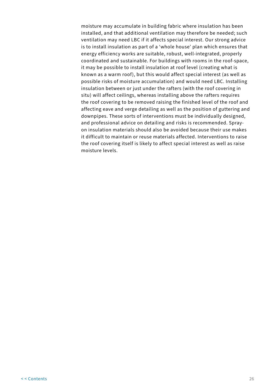moisture may accumulate in building fabric where insulation has been installed, and that additional ventilation may therefore be needed; such ventilation may need LBC if it affects special interest. Our strong advice is to install insulation as part of a 'whole house' plan which ensures that energy efficiency works are suitable, robust, well-integrated, properly coordinated and sustainable. For buildings with rooms in the roof-space, it may be possible to install insulation at roof level (creating what is known as a warm roof), but this would affect special interest (as well as possible risks of moisture accumulation) and would need LBC. Installing insulation between or just under the rafters (with the roof covering in situ) will affect ceilings, whereas installing above the rafters requires the roof covering to be removed raising the finished level of the roof and affecting eave and verge detailing as well as the position of guttering and downpipes. These sorts of interventions must be individually designed, and professional advice on detailing and risks is recommended. Sprayon insulation materials should also be avoided because their use makes it difficult to maintain or reuse materials affected. Interventions to raise the roof covering itself is likely to affect special interest as well as raise moisture levels.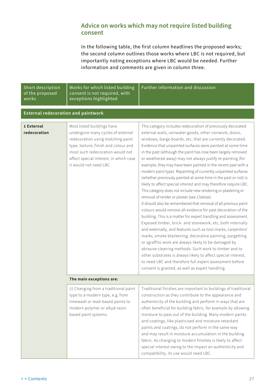## <span id="page-29-0"></span>**Advice on works which may not require listed building consent**

In the following table, the first column headlines the proposed works; the second column outlines those works where LBC is not required, but importantly noting exceptions where LBC would be needed. Further information and comments are given in column three.

| Short description<br>of the proposed<br>works | Works for which listed building<br>consent is not required, with<br>exceptions highlighted                                                                                                                                                           | Further information and discussion                                                                                                                                                                                                                                                                                                                                                                                                                                                                                                                                                                                                                                                                                                                                                                                                                                                                                                                                                                                                                                                                                                                                                                                                                                                                                                                                                                                                                                       |
|-----------------------------------------------|------------------------------------------------------------------------------------------------------------------------------------------------------------------------------------------------------------------------------------------------------|--------------------------------------------------------------------------------------------------------------------------------------------------------------------------------------------------------------------------------------------------------------------------------------------------------------------------------------------------------------------------------------------------------------------------------------------------------------------------------------------------------------------------------------------------------------------------------------------------------------------------------------------------------------------------------------------------------------------------------------------------------------------------------------------------------------------------------------------------------------------------------------------------------------------------------------------------------------------------------------------------------------------------------------------------------------------------------------------------------------------------------------------------------------------------------------------------------------------------------------------------------------------------------------------------------------------------------------------------------------------------------------------------------------------------------------------------------------------------|
| <b>External redecoration and paintwork</b>    |                                                                                                                                                                                                                                                      |                                                                                                                                                                                                                                                                                                                                                                                                                                                                                                                                                                                                                                                                                                                                                                                                                                                                                                                                                                                                                                                                                                                                                                                                                                                                                                                                                                                                                                                                          |
| 1 External<br>redecoration                    | Most listed buildings have<br>undergone many cycles of external<br>redecoration using matching paint<br>type, texture, finish and colour and<br>most such redecoration would not<br>affect special interest, in which case<br>it would not need LBC. | This category includes redecoration of previously decorated<br>external walls, rainwater goods, other ironwork, doors,<br>windows, barge boards, etc, that are currently decorated.<br>Evidence that unpainted surfaces were painted at some time<br>in the past (although the paint has now been largely removed<br>or weathered away) may not always justify re-painting (for<br>example, they may have been painted in the recent past with a<br>modern paint type). Repainting of currently unpainted surfaces<br>(whether previously painted at some time in the past or not) is<br>likely to affect special interest and may therefore require LBC.<br>This category does not include new rendering or plastering or<br>removal of render or plaster (see 2 below).<br>It should also be remembered that removal of all previous paint<br>colours would remove all evidence for past decoration of the<br>building. This is a matter for expert handling and assessment.<br>Exposed timber, brick- and stonework, etc, both internally<br>and externally, and features such as tool marks, carpenters'<br>marks, smoke blackening, decorative painting, pargetting<br>or sgraffito work are always likely to be damaged by<br>abrasive cleaning methods. Such work to timber and to<br>other substrates is always likely to affect special interest,<br>to need LBC and therefore full expert assessment before<br>consent is granted, as well as expert handling. |
|                                               | The main exceptions are:                                                                                                                                                                                                                             |                                                                                                                                                                                                                                                                                                                                                                                                                                                                                                                                                                                                                                                                                                                                                                                                                                                                                                                                                                                                                                                                                                                                                                                                                                                                                                                                                                                                                                                                          |
|                                               | (i) Changing from a traditional paint<br>type to a modern type, e.g. from<br>limewash or lead-based paints to<br>modern polymer or alkyd-resin-<br>based paint systems.                                                                              | Traditional finishes are important to buildings of traditional<br>construction as they contribute to the appearance and<br>authenticity of the building and perform in ways that are<br>often beneficial for building fabric, for example by allowing<br>moisture to pass out of the building. Many modern paints<br>and coatings, like plasticised and moisture-retardant<br>paints and coatings, do not perform in the same way<br>and may result in moisture accumulation in the building<br>fabric. As changing to modern finishes is likely to affect<br>special interest owing to the impact on authenticity and<br>compatibility, its use would need LBC.                                                                                                                                                                                                                                                                                                                                                                                                                                                                                                                                                                                                                                                                                                                                                                                                         |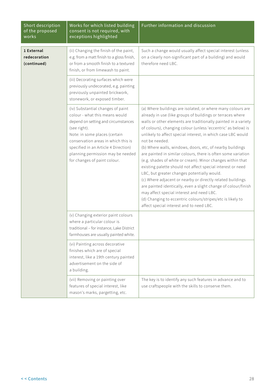| Short description<br>of the proposed<br>works | Works for which listed building<br>consent is not required, with<br>exceptions highlighted                                                                                                                                                                                                                      | Further information and discussion                                                                                                                                                                                                                                                                                                                                                                                                                                                                                                                                                                                                                                                                                                                                                                                                                                                                                                              |
|-----------------------------------------------|-----------------------------------------------------------------------------------------------------------------------------------------------------------------------------------------------------------------------------------------------------------------------------------------------------------------|-------------------------------------------------------------------------------------------------------------------------------------------------------------------------------------------------------------------------------------------------------------------------------------------------------------------------------------------------------------------------------------------------------------------------------------------------------------------------------------------------------------------------------------------------------------------------------------------------------------------------------------------------------------------------------------------------------------------------------------------------------------------------------------------------------------------------------------------------------------------------------------------------------------------------------------------------|
| 1 External<br>redecoration<br>(continued)     | (ii) Changing the finish of the paint,<br>e.g. from a matt finish to a gloss finish,<br>or from a smooth finish to a textured<br>finish, or from limewash to paint.                                                                                                                                             | Such a change would usually affect special interest (unless<br>on a clearly non-significant part of a building) and would<br>therefore need LBC.                                                                                                                                                                                                                                                                                                                                                                                                                                                                                                                                                                                                                                                                                                                                                                                                |
|                                               | (iii) Decorating surfaces which were<br>previously undecorated, e.g. painting<br>previously unpainted brickwork,<br>stonework, or exposed timber.                                                                                                                                                               |                                                                                                                                                                                                                                                                                                                                                                                                                                                                                                                                                                                                                                                                                                                                                                                                                                                                                                                                                 |
|                                               | (iv) Substantial changes of paint<br>colour - what this means would<br>depend on setting and circumstances<br>(see right).<br>Note: in some places (certain<br>conservation areas in which this is<br>specified in an Article 4 Direction)<br>planning permission may be needed<br>for changes of paint colour. | (a) Where buildings are isolated, or where many colours are<br>already in use (like groups of buildings or terraces where<br>walls or other elements are traditionally painted in a variety<br>of colours), changing colour (unless 'eccentric' as below) is<br>unlikely to affect special interest, in which case LBC would<br>not be needed.<br>(b) Where walls, windows, doors, etc, of nearby buildings<br>are painted in similar colours, there is often some variation<br>(e.g. shades of white or cream). Minor changes within that<br>existing palette should not affect special interest or need<br>LBC, but greater changes potentially would.<br>(c) Where adjacent or nearby or directly related buildings<br>are painted identically, even a slight change of colour/finish<br>may affect special interest and need LBC.<br>(d) Changing to eccentric colours/stripes/etc is likely to<br>affect special interest and to need LBC. |
|                                               | (v) Changing exterior paint colours<br>where a particular colour is<br>traditional - for instance, Lake District<br>farmhouses are usually painted white.                                                                                                                                                       |                                                                                                                                                                                                                                                                                                                                                                                                                                                                                                                                                                                                                                                                                                                                                                                                                                                                                                                                                 |
|                                               | (vi) Painting across decorative<br>finishes which are of special<br>interest, like a 19th century painted<br>advertisement on the side of<br>a building.                                                                                                                                                        |                                                                                                                                                                                                                                                                                                                                                                                                                                                                                                                                                                                                                                                                                                                                                                                                                                                                                                                                                 |
|                                               | (vii) Removing or painting over<br>features of special interest, like<br>mason's marks, pargetting, etc.                                                                                                                                                                                                        | The key is to identify any such features in advance and to<br>use craftspeople with the skills to conserve them.                                                                                                                                                                                                                                                                                                                                                                                                                                                                                                                                                                                                                                                                                                                                                                                                                                |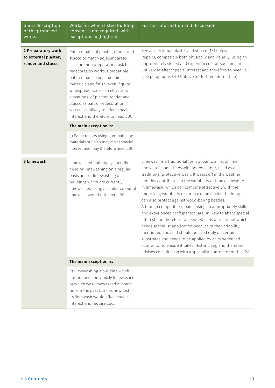| Short description<br>of the proposed<br>works                   | Works for which listed building<br>consent is not required, with<br>exceptions highlighted                                                                                                                                                                                                                                                                                                                    | Further information and discussion                                                                                                                                                                                                                                                                                                                                                                                                                                                                                                                                                                                                                                                                                                                                                                                                                                                                                  |
|-----------------------------------------------------------------|---------------------------------------------------------------------------------------------------------------------------------------------------------------------------------------------------------------------------------------------------------------------------------------------------------------------------------------------------------------------------------------------------------------|---------------------------------------------------------------------------------------------------------------------------------------------------------------------------------------------------------------------------------------------------------------------------------------------------------------------------------------------------------------------------------------------------------------------------------------------------------------------------------------------------------------------------------------------------------------------------------------------------------------------------------------------------------------------------------------------------------------------------------------------------------------------------------------------------------------------------------------------------------------------------------------------------------------------|
| 2 Preparatory work<br>to external plaster,<br>render and stucco | Patch repairs of plaster, render and<br>stucco to match adjacent areas<br>is a common preparatory task for<br>redecoration works. Compatible<br>patch repairs using matching<br>materials and finish, even if quite<br>widespread across an elevation/<br>elevations, of plaster, render and<br>stucco as part of redecoration<br>works, is unlikely to affect special<br>interest and therefore to need LBC. | See also external plaster and stucco (14) below.<br>Repairs, compatible both physically and visually, using an<br>appropriately skilled and experienced craftsperson, are<br>unlikely to affect special interest and therefore to need LBC<br>(see paragraphs 34-36 above for further information).                                                                                                                                                                                                                                                                                                                                                                                                                                                                                                                                                                                                                 |
|                                                                 | The main exception is:                                                                                                                                                                                                                                                                                                                                                                                        |                                                                                                                                                                                                                                                                                                                                                                                                                                                                                                                                                                                                                                                                                                                                                                                                                                                                                                                     |
|                                                                 | (i) Patch repairs using non-matching<br>materials or finish may affect special<br>interest and may therefore need LBC.                                                                                                                                                                                                                                                                                        |                                                                                                                                                                                                                                                                                                                                                                                                                                                                                                                                                                                                                                                                                                                                                                                                                                                                                                                     |
| 3 Limewash                                                      | Limewashed buildings generally<br>need re-limewashing on a regular<br>basis and re-limewashing of<br>buildings which are currently<br>limewashed using a similar colour of<br>limewash would not need LBC.                                                                                                                                                                                                    | Limewash is a traditional form of paint, a mix of lime<br>and water, sometimes with added colour, used as a<br>traditional protective wash. It wears off in the weather<br>and this contributes to the variability of tone achievable<br>in limewash, which can combine attractively with the<br>underlying variability of surface of an ancient building. It<br>can also protect against wood-boring beetles.<br>Although compatible repairs, using an appropriately skilled<br>and experienced craftsperson, are unlikely to affect special<br>interest and therefore to need LBC, it is a treatment which<br>needs specialist application because of the variability<br>mentioned above. It should be used only on certain<br>substrates and needs to be applied by an experienced<br>contractor to ensure it takes. Historic England therefore<br>advises consultation with a specialist contractor or the LPA. |
|                                                                 | The main exception is:                                                                                                                                                                                                                                                                                                                                                                                        |                                                                                                                                                                                                                                                                                                                                                                                                                                                                                                                                                                                                                                                                                                                                                                                                                                                                                                                     |
|                                                                 | (i) Limewashing a building which<br>has not been previously limewashed<br>or which was limewashed at some<br>time in the past but has now lost<br>its limewash would affect special<br>interest and require LBC.                                                                                                                                                                                              |                                                                                                                                                                                                                                                                                                                                                                                                                                                                                                                                                                                                                                                                                                                                                                                                                                                                                                                     |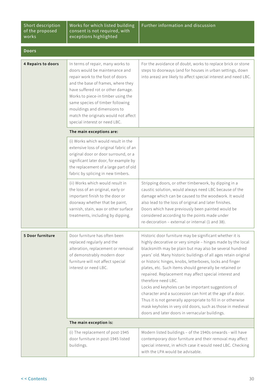| Short description |
|-------------------|
| of the proposed   |
| works             |

Works for which listed building consent is not required, with exceptions highlighted

| <b>Doors</b>       |                                                                                                                                                                                                                                                                                                                                                                       |                                                                                                                                                                                                                                                                                                                                                                                                                                                                                                                                                                                                                                                                                                                                                                 |
|--------------------|-----------------------------------------------------------------------------------------------------------------------------------------------------------------------------------------------------------------------------------------------------------------------------------------------------------------------------------------------------------------------|-----------------------------------------------------------------------------------------------------------------------------------------------------------------------------------------------------------------------------------------------------------------------------------------------------------------------------------------------------------------------------------------------------------------------------------------------------------------------------------------------------------------------------------------------------------------------------------------------------------------------------------------------------------------------------------------------------------------------------------------------------------------|
| 4 Repairs to doors | In terms of repair, many works to<br>doors would be maintenance and<br>repair work to the foot of doors<br>and the base of frames, where they<br>have suffered rot or other damage.<br>Works to piece-in timber using the<br>same species of timber following<br>mouldings and dimensions to<br>match the originals would not affect<br>special interest or need LBC. | For the avoidance of doubt, works to replace brick or stone<br>steps to doorways (and for houses in urban settings, down<br>into areas) are likely to affect special interest and need LBC.                                                                                                                                                                                                                                                                                                                                                                                                                                                                                                                                                                     |
|                    | The main exceptions are:                                                                                                                                                                                                                                                                                                                                              |                                                                                                                                                                                                                                                                                                                                                                                                                                                                                                                                                                                                                                                                                                                                                                 |
|                    | (i) Works which would result in the<br>extensive loss of original fabric of an<br>original door or door surround, or a<br>significant later door, for example by<br>the replacement of a large part of old<br>fabric by splicing in new timbers.                                                                                                                      |                                                                                                                                                                                                                                                                                                                                                                                                                                                                                                                                                                                                                                                                                                                                                                 |
|                    | (ii) Works which would result in<br>the loss of an original, early or<br>important finish to the door or<br>doorway whether that be paint,<br>varnish, stain, wax or other surface<br>treatments, including by dipping.                                                                                                                                               | Stripping doors, or other timberwork, by dipping in a<br>caustic solution, would always need LBC because of the<br>damage which can be caused to the woodwork. It would<br>also lead to the loss of original and later finishes.<br>Doors which have previously been painted would be<br>considered according to the points made under<br>re-decoration - external or internal (1 and 38).                                                                                                                                                                                                                                                                                                                                                                      |
| 5 Door furniture   | Door furniture has often been<br>replaced regularly and the<br>alteration, replacement or removal<br>of demonstrably modern door<br>furniture will not affect special<br>interest or need LBC.                                                                                                                                                                        | Historic door furniture may be significant whether it is<br>highly decorative or very simple - hinges made by the local<br>blacksmith may be plain but may also be several hundred<br>years' old. Many historic buildings of all ages retain original<br>or historic hinges, knobs, letterboxes, locks and finger<br>plates, etc. Such items should generally be retained or<br>repaired. Replacement may affect special interest and<br>therefore need LBC.<br>Locks and keyholes can be important suggestions of<br>character and a succession can hint at the age of a door.<br>Thus it is not generally appropriate to fill in or otherwise<br>mask keyholes in very old doors, such as those in medieval<br>doors and later doors in vernacular buildings. |
|                    | The main exception is:                                                                                                                                                                                                                                                                                                                                                |                                                                                                                                                                                                                                                                                                                                                                                                                                                                                                                                                                                                                                                                                                                                                                 |
|                    | (i) The replacement of post-1945<br>door furniture in post-1945 listed<br>buildings.                                                                                                                                                                                                                                                                                  | Modern listed buildings - of the 1940s onwards - will have<br>contemporary door furniture and their removal may affect<br>special interest, in which case it would need LBC. Checking<br>with the LPA would be advisable.                                                                                                                                                                                                                                                                                                                                                                                                                                                                                                                                       |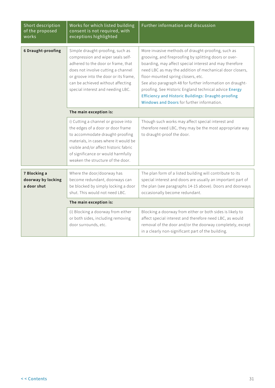| Short description<br>of the proposed<br>works     | Works for which listed building<br>consent is not required, with<br>exceptions highlighted                                                                                                                                                                               | Further information and discussion                                                                                                                                                                                                                                                                                                                                                                                                                                                                    |
|---------------------------------------------------|--------------------------------------------------------------------------------------------------------------------------------------------------------------------------------------------------------------------------------------------------------------------------|-------------------------------------------------------------------------------------------------------------------------------------------------------------------------------------------------------------------------------------------------------------------------------------------------------------------------------------------------------------------------------------------------------------------------------------------------------------------------------------------------------|
| <b>6 Draught-proofing</b>                         | Simple draught-proofing, such as<br>compression and wiper seals self-<br>adhered to the door or frame, that<br>does not involve cutting a channel<br>or groove into the door or its frame,<br>can be achieved without affecting<br>special interest and needing LBC.     | More invasive methods of draught-proofing, such as<br>grooving, and fireproofing by splitting doors or over-<br>boarding, may affect special interest and may therefore<br>need LBC as may the addition of mechanical door closers,<br>floor-mounted spring closers, etc.<br>See also paragraph 48 for further information on draught-<br>proofing. See Historic England technical advice Energy<br>Efficiency and Historic Buildings: Draught-proofing<br>Windows and Doors for further information. |
|                                                   | The main exception is:                                                                                                                                                                                                                                                   |                                                                                                                                                                                                                                                                                                                                                                                                                                                                                                       |
|                                                   | i) Cutting a channel or groove into<br>the edges of a door or door frame<br>to accommodate draught-proofing<br>materials, in cases where it would be<br>visible and/or affect historic fabric<br>of significance or would harmfully<br>weaken the structure of the door. | Though such works may affect special interest and<br>therefore need LBC, they may be the most appropriate way<br>to draught-proof the door.                                                                                                                                                                                                                                                                                                                                                           |
| 7 Blocking a<br>doorway by locking<br>a door shut | Where the door/doorway has<br>become redundant, doorways can<br>be blocked by simply locking a door<br>shut. This would not need LBC.                                                                                                                                    | The plan form of a listed building will contribute to its<br>special interest and doors are usually an important part of<br>the plan (see paragraphs 14-15 above). Doors and doorways<br>occasionally become redundant.                                                                                                                                                                                                                                                                               |
|                                                   | The main exception is:                                                                                                                                                                                                                                                   |                                                                                                                                                                                                                                                                                                                                                                                                                                                                                                       |
|                                                   | (i) Blocking a doorway from either<br>or both sides, including removing<br>door surrounds, etc.                                                                                                                                                                          | Blocking a doorway from either or both sides is likely to<br>affect special interest and therefore need LBC, as would<br>removal of the door and/or the doorway completely, except<br>in a clearly non-significant part of the building.                                                                                                                                                                                                                                                              |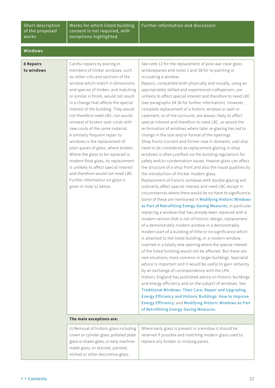#### Short description of the proposed works

Works for which listed building consent is not required, with exceptions highlighted

#### **Windows**

**8 Repairs to windows**

Careful repairs by piecing in members of timber windows, such as rotten cills and sections of the window which match in dimensions and species of timber, and matching or similar in finish, would not result in a change that affects the special interest of the building. They would not therefore need LBC; nor would renewal of broken sash cords with new cords of the same material. A similarly frequent repair to windows is the replacement of plain panes of glass, where broken. Where the glass to be replaced is modern float glass, its replacement is unlikely to affect special interest and therefore would not need LBC. Further information on glass is given in note 12 below.

See note 12 for the replacement of post-war clear glass windowpanes and notes 1 and 38 for re-painting or re-coating a window.

Repairs, compatible both physically and visually, using an appropriately skilled and experienced craftsperson, are unlikely to affect special interest and therefore to need LBC (see paragraphs 34-36 for further information). However, complete replacement of a historic window or sash or casement, or of the surround, are always likely to affect special interest and therefore to need LBC, as would the re-formation of windows where later re-glazing has led to change in the size and/or format of the openings. Shop fronts (current and former now in domestic use) also need to be considered as replacement glazing in shop windows is often justified via the building regulations for safety and/or condensation issues. Heavier glass can affect the structure of a shop front and also the visual qualities by the introduction of thicker modern glass.

Replacement of historic windows with double glazing will ordinarily affect special interest and need LBC except in circumstances where there would be no harm to significance. Some of these are mentioned in [Modifying Historic Windows](https://historicengland.org.uk/whats-new/statements/modifying-historic-windows-as-part-of-retrofitting-energy-saving-measures/)  [as Part of Retrofitting Energy-Saving Measures](https://historicengland.org.uk/whats-new/statements/modifying-historic-windows-as-part-of-retrofitting-energy-saving-measures/), in particular replacing a window that has already been replaced with a modern version that is not of historic design; replacement of a demonstrably modern window in a demonstrably modern part of a building of little or no significance which is attached to the listed building, or a modern window inserted in a totally new opening where the special interest of the listed building would not be affected. But these are rare situations, more common in larger buildings. Specialist advice is important and it would be useful to gain certainty by an exchange of correspondence with the LPA. Historic England has published advice on historic buildings and energy efficiency and on the subject of windows. See [Traditional Windows: Their Care, Repair and Upgrading](https://historicengland.org.uk/images-books/publications/traditional-windows-care-repair-upgrading/); [Energy Efficiency and Historic Buildings: How to Improve](https://historicengland.org.uk/images-books/publications/eehb-how-to-improve-energy-efficiency/heag094-how-to-improve-energy-efficiency/)  [Energy Efficiency](https://historicengland.org.uk/images-books/publications/eehb-how-to-improve-energy-efficiency/heag094-how-to-improve-energy-efficiency/); and [Modifying Historic Windows as Part](https://historicengland.org.uk/whats-new/statements/modifying-historic-windows-as-part-of-retrofitting-energy-saving-measures/)  [of Retrofitting Energy-Saving Measures](https://historicengland.org.uk/whats-new/statements/modifying-historic-windows-as-part-of-retrofitting-energy-saving-measures/).

#### **The main exceptions are:**

| (i) Removal of historic glass including | Where early glass is present in a window it should be  |
|-----------------------------------------|--------------------------------------------------------|
| crown or cylinder glass, polished plate | retained if possible and matching modern glass used to |
| glass or drawn glass, or early machine- | replace any broken or missing panes.                   |
| made glass, or stained, painted,        |                                                        |
| etched or other decorative glass.       |                                                        |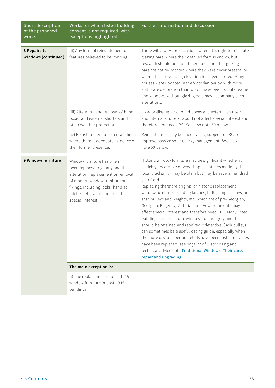| Short description<br>of the proposed<br>works | Works for which listed building<br>consent is not required, with<br>exceptions highlighted                                                                                                                                        | Further information and discussion                                                                                                                                                                                                                                                                                                                                                                                                                                                                                                                                                                                                                                                                                                                                                                                                                                                                   |
|-----------------------------------------------|-----------------------------------------------------------------------------------------------------------------------------------------------------------------------------------------------------------------------------------|------------------------------------------------------------------------------------------------------------------------------------------------------------------------------------------------------------------------------------------------------------------------------------------------------------------------------------------------------------------------------------------------------------------------------------------------------------------------------------------------------------------------------------------------------------------------------------------------------------------------------------------------------------------------------------------------------------------------------------------------------------------------------------------------------------------------------------------------------------------------------------------------------|
| 8 Repairs to<br>windows (continued)           | (ii) Any form of reinstatement of<br>features believed to be 'missing'.                                                                                                                                                           | There will always be occasions where it is right to reinstate<br>glazing bars, where their detailed form is known, but<br>research should be undertaken to ensure that glazing<br>bars are not re-instated where they were never present, or<br>where the surrounding elevation has been altered. Many<br>houses were updated in the Victorian period with more<br>elaborate decoration than would have been popular earlier<br>and windows without glazing bars may accompany such<br>alterations.                                                                                                                                                                                                                                                                                                                                                                                                  |
|                                               | (iii) Alteration and removal of blind<br>boxes and external shutters and<br>other weather protection.                                                                                                                             | Like-for-like repair of blind boxes and external shutters,<br>and internal shutters, would not affect special interest and<br>therefore not need LBC. See also note 50 below.                                                                                                                                                                                                                                                                                                                                                                                                                                                                                                                                                                                                                                                                                                                        |
|                                               | (iv) Reinstatement of external blinds<br>where there is adequate evidence of<br>their former presence.                                                                                                                            | Reinstatement may be encouraged, subject to LBC, to<br>improve passive solar energy management. See also<br>note 50 below.                                                                                                                                                                                                                                                                                                                                                                                                                                                                                                                                                                                                                                                                                                                                                                           |
| 9 Window furniture                            | Window furniture has often<br>been replaced regularly and the<br>alteration, replacement or removal<br>of modern window furniture or<br>fixings, including locks, handles,<br>latches, etc, would not affect<br>special interest. | Historic window furniture may be significant whether it<br>is highly decorative or very simple - latches made by the<br>local blacksmith may be plain but may be several hundred<br>years' old.<br>Replacing therefore original or historic replacement<br>window furniture including latches, bolts, hinges, stays, and<br>sash pulleys and weights, etc, which are of pre-Georgian,<br>Georgian, Regency, Victorian and Edwardian date may<br>affect special interest and therefore need LBC. Many listed<br>buildings retain historic window ironmongery and this<br>should be retained and repaired if defective. Sash pulleys<br>can sometimes be a useful dating guide, especially when<br>the more obvious period details have been lost and frames<br>have been replaced (see page 22 of Historic England<br>technical advice note Traditional Windows: Their care,<br>repair and upgrading. |
|                                               | The main exception is:                                                                                                                                                                                                            |                                                                                                                                                                                                                                                                                                                                                                                                                                                                                                                                                                                                                                                                                                                                                                                                                                                                                                      |
|                                               | (i) The replacement of post-1945<br>window furniture in post-1945<br>buildings.                                                                                                                                                   |                                                                                                                                                                                                                                                                                                                                                                                                                                                                                                                                                                                                                                                                                                                                                                                                                                                                                                      |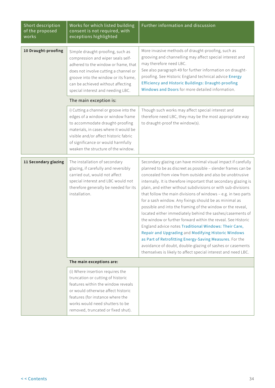| Short description<br>of the proposed<br>works | Works for which listed building<br>consent is not required, with<br>exceptions highlighted                                                                                                                                                                                     | Further information and discussion                                                                                                                                                                                                                                                                                                                                                                                                                                                                                                                                                                                                                                                                                                                                                                                                                                                                                                                            |
|-----------------------------------------------|--------------------------------------------------------------------------------------------------------------------------------------------------------------------------------------------------------------------------------------------------------------------------------|---------------------------------------------------------------------------------------------------------------------------------------------------------------------------------------------------------------------------------------------------------------------------------------------------------------------------------------------------------------------------------------------------------------------------------------------------------------------------------------------------------------------------------------------------------------------------------------------------------------------------------------------------------------------------------------------------------------------------------------------------------------------------------------------------------------------------------------------------------------------------------------------------------------------------------------------------------------|
| 10 Draught-proofing                           | Simple draught-proofing, such as<br>compression and wiper seals self-<br>adhered to the window or frame, that<br>does not involve cutting a channel or<br>groove into the window or its frame,<br>can be achieved without affecting<br>special interest and needing LBC.       | More invasive methods of draught-proofing, such as<br>grooving and channelling may affect special interest and<br>may therefore need LBC.<br>See also paragraph 49 for further information on draught-<br>proofing. See Historic England technical advice Energy<br><b>Efficiency and Historic Buildings: Draught-proofing</b><br>Windows and Doors for more detailed information.                                                                                                                                                                                                                                                                                                                                                                                                                                                                                                                                                                            |
|                                               | The main exception is:                                                                                                                                                                                                                                                         |                                                                                                                                                                                                                                                                                                                                                                                                                                                                                                                                                                                                                                                                                                                                                                                                                                                                                                                                                               |
|                                               | i) Cutting a channel or groove into the<br>edges of a window or window frame<br>to accommodate draught-proofing<br>materials, in cases where it would be<br>visible and/or affect historic fabric<br>of significance or would harmfully<br>weaken the structure of the window. | Though such works may affect special interest and<br>therefore need LBC, they may be the most appropriate way<br>to draught-proof the window(s).                                                                                                                                                                                                                                                                                                                                                                                                                                                                                                                                                                                                                                                                                                                                                                                                              |
| 11 Secondary glazing                          | The installation of secondary<br>glazing, if carefully and reversibly<br>carried out, would not affect<br>special interest and LBC would not<br>therefore generally be needed for its<br>installation.                                                                         | Secondary glazing can have minimal visual impact if carefully<br>planned to be as discreet as possible - slender frames can be<br>concealed from view from outside and also be unobtrusive<br>internally. It is therefore important that secondary glazing is<br>plain, and either without subdivisions or with sub-divisions<br>that follow the main divisions of windows - e.g. in two parts<br>for a sash window. Any fixings should be as minimal as<br>possible and into the framing of the window or the reveal,<br>located either immediately behind the sashes/casements of<br>the window or further forward within the reveal. See Historic<br>England advice notes Traditional Windows: Their Care,<br>Repair and Upgrading and Modifying Historic Windows<br>as Part of Retrofitting Energy-Saving Measures. For the<br>avoidance of doubt, double-glazing of sashes or casements<br>themselves is likely to affect special interest and need LBC. |
|                                               | The main exceptions are:                                                                                                                                                                                                                                                       |                                                                                                                                                                                                                                                                                                                                                                                                                                                                                                                                                                                                                                                                                                                                                                                                                                                                                                                                                               |
|                                               | (i) Where insertion requires the<br>truncation or cutting of historic<br>features within the window reveals<br>or would otherwise affect historic<br>features (for instance where the<br>works would need shutters to be<br>removed, truncated or fixed shut).                 |                                                                                                                                                                                                                                                                                                                                                                                                                                                                                                                                                                                                                                                                                                                                                                                                                                                                                                                                                               |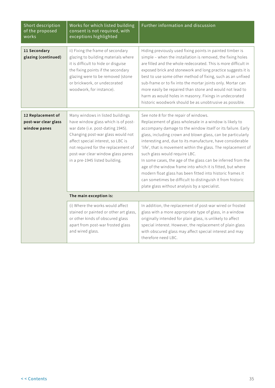| Short description<br>of the proposed<br>works             | Works for which listed building<br>consent is not required, with<br>exceptions highlighted                                                                                                                                                                                                            | Further information and discussion                                                                                                                                                                                                                                                                                                                                                                                                                                                                                                                                                                                                                                                                        |
|-----------------------------------------------------------|-------------------------------------------------------------------------------------------------------------------------------------------------------------------------------------------------------------------------------------------------------------------------------------------------------|-----------------------------------------------------------------------------------------------------------------------------------------------------------------------------------------------------------------------------------------------------------------------------------------------------------------------------------------------------------------------------------------------------------------------------------------------------------------------------------------------------------------------------------------------------------------------------------------------------------------------------------------------------------------------------------------------------------|
| 11 Secondary<br>glazing (continued)                       | ii) Fixing the frame of secondary<br>glazing to building materials where<br>it is difficult to hide or disguise<br>the fixing points if the secondary<br>glazing were to be removed (stone<br>or brickwork, or undecorated<br>woodwork, for instance).                                                | Hiding previously used fixing points in painted timber is<br>simple - when the installation is removed, the fixing holes<br>are filled and the whole redecorated. This is more difficult in<br>exposed brick and stonework and long practice suggests it is<br>best to use some other method of fixing, such as an unfixed<br>sub-frame or to fix into the mortar joints only. Mortar can<br>more easily be repaired than stone and would not lead to<br>harm as would holes in masonry. Fixings in undecorated<br>historic woodwork should be as unobtrusive as possible.                                                                                                                                |
| 12 Replacement of<br>post-war clear glass<br>window panes | Many windows in listed buildings<br>have window glass which is of post-<br>war date (i.e. post-dating 1945).<br>Changing post-war glass would not<br>affect special interest, so LBC is<br>not required for the replacement of<br>post-war clear window glass panes<br>in a pre-1945 listed building. | See note 8 for the repair of windows.<br>Replacement of glass wholesale in a window is likely to<br>accompany damage to the window itself or its failure. Early<br>glass, including crown and blown glass, can be particularly<br>interesting and, due to its manufacture, have considerable<br>'life', that is movement within the glass. The replacement of<br>such glass would require LBC.<br>In some cases, the age of the glass can be inferred from the<br>age of the window frame into which it is fitted, but where<br>modern float glass has been fitted into historic frames it<br>can sometimes be difficult to distinguish it from historic<br>plate glass without analysis by a specialist. |
|                                                           | The main exception is:                                                                                                                                                                                                                                                                                |                                                                                                                                                                                                                                                                                                                                                                                                                                                                                                                                                                                                                                                                                                           |
|                                                           | (i) Where the works would affect<br>stained or painted or other art glass,<br>or other kinds of obscured glass<br>apart from post-war frosted glass<br>and wired glass.                                                                                                                               | In addition, the replacement of post-war wired or frosted<br>glass with a more appropriate type of glass, in a window<br>originally intended for plain glass, is unlikely to affect<br>special interest. However, the replacement of plain glass<br>with obscured glass may affect special interest and may<br>therefore need LBC.                                                                                                                                                                                                                                                                                                                                                                        |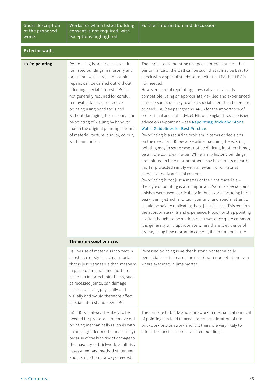#### Short description of the proposed works

Works for which listed building consent is not required, with exceptions highlighted

#### **Exterior walls**

| Re-pointing is an essential repair<br>The impact of re-pointing on special interest and on the<br>for listed buildings in masonry and<br>performance of the wall can be such that it may be best to<br>brick and, with care, compatible<br>check with a specialist advisor or with the LPA that LBC is<br>repairs can be carried out without<br>not needed.<br>affecting special interest. LBC is<br>However, careful repointing, physically and visually<br>not generally required for careful<br>compatible, using an appropriately skilled and experienced<br>removal of failed or defective<br>craftsperson, is unlikely to affect special interest and therefore<br>pointing using hand tools and<br>to need LBC (see paragraphs 34-36 for the importance of<br>without damaging the masonry, and<br>professional and craft advice). Historic England has published<br>re-pointing of walling by hand, to<br>advice on re-pointing - see Repointing Brick and Stone<br><b>Walls: Guidelines for Best Practice.</b><br>match the original pointing in terms<br>of material, texture, quality, colour,<br>Re-pointing is a recurring problem in terms of decisions<br>width and finish.<br>on the need for LBC because while matching the existing<br>pointing may in some cases not be difficult, in others it may<br>be a more complex matter. While many historic buildings<br>are pointed in lime mortar, others may have joints of earth<br>mortar protected simply with limewash, or of natural<br>cement or early artificial cement.<br>Re-pointing is not just a matter of the right materials -<br>the style of pointing is also important. Various special joint<br>finishes were used, particularly for brickwork, including bird's<br>beak, penny-struck and tuck pointing, and special attention<br>should be paid to replicating these joint finishes. This requires<br>the appropriate skills and experience. Ribbon or strap pointing<br>is often thought to be modern but it was once quite common.<br>It is generally only appropriate where there is evidence of<br>its use, using lime mortar; in cement, it can trap moisture. |                |  |
|--------------------------------------------------------------------------------------------------------------------------------------------------------------------------------------------------------------------------------------------------------------------------------------------------------------------------------------------------------------------------------------------------------------------------------------------------------------------------------------------------------------------------------------------------------------------------------------------------------------------------------------------------------------------------------------------------------------------------------------------------------------------------------------------------------------------------------------------------------------------------------------------------------------------------------------------------------------------------------------------------------------------------------------------------------------------------------------------------------------------------------------------------------------------------------------------------------------------------------------------------------------------------------------------------------------------------------------------------------------------------------------------------------------------------------------------------------------------------------------------------------------------------------------------------------------------------------------------------------------------------------------------------------------------------------------------------------------------------------------------------------------------------------------------------------------------------------------------------------------------------------------------------------------------------------------------------------------------------------------------------------------------------------------------------------------------------------------------------------------------------------------------------------|----------------|--|
|                                                                                                                                                                                                                                                                                                                                                                                                                                                                                                                                                                                                                                                                                                                                                                                                                                                                                                                                                                                                                                                                                                                                                                                                                                                                                                                                                                                                                                                                                                                                                                                                                                                                                                                                                                                                                                                                                                                                                                                                                                                                                                                                                        | 13 Re-pointing |  |

#### **The main exceptions are:**

| (i) The use of materials incorrect in  | Recessed pointing is neither historic nor technically         |
|----------------------------------------|---------------------------------------------------------------|
| substance or style, such as mortar     | beneficial as it increases the risk of water penetration even |
| that is less permeable than masonry    | where executed in lime mortar.                                |
| in place of original lime mortar or    |                                                               |
| use of an incorrect joint finish, such |                                                               |
| as recessed joints, can damage         |                                                               |
| a listed building physically and       |                                                               |
| visually and would therefore affect    |                                                               |
| special interest and need LBC.         |                                                               |
| (ii) LBC will always be likely to be   | The damage to brick- and stonework in mechanical removal      |
| needed for proposals to remove old     | of pointing can lead to accelerated deterioration of the      |
| pointing mechanically (such as with    |                                                               |
|                                        | brickwork or stonework and it is therefore very likely to     |
| an angle grinder or other machinery)   | affect the special interest of listed buildings.              |
| because of the high risk of damage to  |                                                               |
| the masonry or brickwork. A full risk  |                                                               |
| assessment and method statement        |                                                               |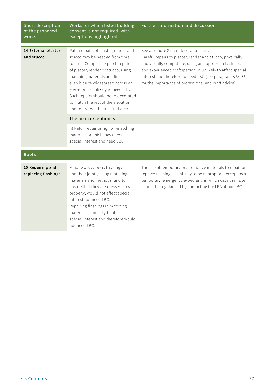| Short description<br>of the proposed<br>works | Works for which listed building<br>consent is not required, with<br>exceptions highlighted                                                                                                                                                                                                                                                                                                                   | Further information and discussion                                                                                                                                                                                                                                                                                                                 |
|-----------------------------------------------|--------------------------------------------------------------------------------------------------------------------------------------------------------------------------------------------------------------------------------------------------------------------------------------------------------------------------------------------------------------------------------------------------------------|----------------------------------------------------------------------------------------------------------------------------------------------------------------------------------------------------------------------------------------------------------------------------------------------------------------------------------------------------|
| 14 External plaster<br>and stucco             | Patch repairs of plaster, render and<br>stucco may be needed from time<br>to time. Compatible patch repair<br>of plaster, render or stucco, using<br>matching materials and finish,<br>even if quite widespread across an<br>elevation, is unlikely to need LBC.<br>Such repairs should be re-decorated<br>to match the rest of the elevation<br>and to protect the repaired area.<br>The main exception is: | See also note 2 on redecoration above.<br>Careful repairs to plaster, render and stucco, physically<br>and visually compatible, using an appropriately skilled<br>and experienced craftsperson, is unlikely to affect special<br>interest and therefore to need LBC (see paragraphs 34-36<br>for the importance of professional and craft advice). |
|                                               | (i) Patch repair using non-matching<br>materials or finish may affect<br>special interest and need LBC.                                                                                                                                                                                                                                                                                                      |                                                                                                                                                                                                                                                                                                                                                    |
| <b>Roofs</b>                                  |                                                                                                                                                                                                                                                                                                                                                                                                              |                                                                                                                                                                                                                                                                                                                                                    |
| 15 Repairing and<br>replacing flashings       | Minor work to re-fix flashings<br>and their joints, using matching<br>materials and methods, and to<br>ensure that they are dressed down<br>properly, would not affect special<br>interest nor need LBC.<br>Repairing flashings in matching<br>materials is unlikely to affect<br>special interest and therefore would<br>not need LBC.                                                                      | The use of temporary or alternative materials to repair or<br>replace flashings is unlikely to be appropriate except as a<br>temporary, emergency expedient, in which case their use<br>should be regularised by contacting the LPA about LBC.                                                                                                     |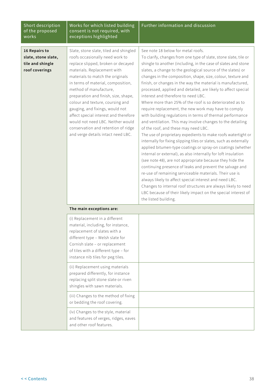| Short description<br>of the proposed<br>works                              | Works for which listed building<br>consent is not required, with<br>exceptions highlighted                                                                                                                                                                                                                                                                                                                                                                                                                                   | Further information and discussion                                                                                                                                                                                                                                                                                                                                                                                                                                                                                                                                                                                                                                                                                                                                                                                                                                                                                                                                                                                                                                                                                                                                                                                                                                                                                                                                                                                                                  |
|----------------------------------------------------------------------------|------------------------------------------------------------------------------------------------------------------------------------------------------------------------------------------------------------------------------------------------------------------------------------------------------------------------------------------------------------------------------------------------------------------------------------------------------------------------------------------------------------------------------|-----------------------------------------------------------------------------------------------------------------------------------------------------------------------------------------------------------------------------------------------------------------------------------------------------------------------------------------------------------------------------------------------------------------------------------------------------------------------------------------------------------------------------------------------------------------------------------------------------------------------------------------------------------------------------------------------------------------------------------------------------------------------------------------------------------------------------------------------------------------------------------------------------------------------------------------------------------------------------------------------------------------------------------------------------------------------------------------------------------------------------------------------------------------------------------------------------------------------------------------------------------------------------------------------------------------------------------------------------------------------------------------------------------------------------------------------------|
| 16 Repairs to<br>slate, stone slate,<br>tile and shingle<br>roof coverings | Slate, stone slate, tiled and shingled<br>roofs occasionally need work to<br>replace slipped, broken or decayed<br>materials. Replacement with<br>materials to match the originals<br>in terms of material, composition,<br>method of manufacture,<br>preparation and finish, size, shape,<br>colour and texture, coursing and<br>gauging, and fixings, would not<br>affect special interest and therefore<br>would not need LBC. Neither would<br>conservation and retention of ridge<br>and verge details intact need LBC. | See note 18 below for metal roofs.<br>To clarify, changes from one type of slate, stone slate, tile or<br>shingle to another (including, in the case of slates and stone<br>slates, a change to the geological source of the slates) or<br>changes in the composition, shape, size, colour, texture and<br>finish, or changes in the way the material is manufactured,<br>processed, applied and detailed, are likely to affect special<br>interest and therefore to need LBC.<br>Where more than 25% of the roof is so deteriorated as to<br>require replacement, the new work may have to comply<br>with building regulations in terms of thermal performance<br>and ventilation. This may involve changes to the detailing<br>of the roof, and these may need LBC.<br>The use of proprietary expedients to make roofs watertight or<br>internally for fixing slipping tiles or slates, such as externally<br>applied bitumen-type coatings or spray-on coatings (whether<br>internal or external), as also internally for loft insulation<br>(see note 48), are not appropriate because they hide the<br>continuing presence of leaks and prevent the salvage and<br>re-use of remaining serviceable materials. Their use is<br>always likely to affect special interest and need LBC.<br>Changes to internal roof structures are always likely to need<br>LBC because of their likely impact on the special interest of<br>the listed building. |
|                                                                            | The main exceptions are:                                                                                                                                                                                                                                                                                                                                                                                                                                                                                                     |                                                                                                                                                                                                                                                                                                                                                                                                                                                                                                                                                                                                                                                                                                                                                                                                                                                                                                                                                                                                                                                                                                                                                                                                                                                                                                                                                                                                                                                     |
|                                                                            | (i) Replacement in a different<br>material, including, for instance,<br>replacement of slates with a<br>different type - Welsh slate for<br>Cornish slate - or replacement<br>of tiles with a different type - for<br>instance nib tiles for peg tiles.                                                                                                                                                                                                                                                                      |                                                                                                                                                                                                                                                                                                                                                                                                                                                                                                                                                                                                                                                                                                                                                                                                                                                                                                                                                                                                                                                                                                                                                                                                                                                                                                                                                                                                                                                     |
|                                                                            | (ii) Replacement using materials<br>prepared differently, for instance<br>replacing split stone slate or riven<br>shingles with sawn materials.                                                                                                                                                                                                                                                                                                                                                                              |                                                                                                                                                                                                                                                                                                                                                                                                                                                                                                                                                                                                                                                                                                                                                                                                                                                                                                                                                                                                                                                                                                                                                                                                                                                                                                                                                                                                                                                     |
|                                                                            | (iii) Changes to the method of fixing<br>or bedding the roof covering.                                                                                                                                                                                                                                                                                                                                                                                                                                                       |                                                                                                                                                                                                                                                                                                                                                                                                                                                                                                                                                                                                                                                                                                                                                                                                                                                                                                                                                                                                                                                                                                                                                                                                                                                                                                                                                                                                                                                     |
|                                                                            | (iv) Changes to the style, material<br>and features of verges, ridges, eaves<br>and other roof features.                                                                                                                                                                                                                                                                                                                                                                                                                     |                                                                                                                                                                                                                                                                                                                                                                                                                                                                                                                                                                                                                                                                                                                                                                                                                                                                                                                                                                                                                                                                                                                                                                                                                                                                                                                                                                                                                                                     |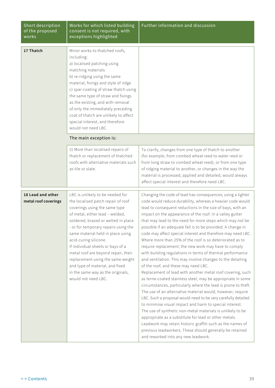| Short description<br>of the proposed<br>works | Works for which listed building<br>consent is not required, with<br>exceptions highlighted                                                                                                                                                                                                                                                                                                                                                                                                              | Further information and discussion                                                                                                                                                                                                                                                                                                                                                                                                                                                                                                                                                                                                                                                                                                                                                                                                                                                                                                                                                                                                                                                                                                                                                                                                                                                                                                                                                                                     |
|-----------------------------------------------|---------------------------------------------------------------------------------------------------------------------------------------------------------------------------------------------------------------------------------------------------------------------------------------------------------------------------------------------------------------------------------------------------------------------------------------------------------------------------------------------------------|------------------------------------------------------------------------------------------------------------------------------------------------------------------------------------------------------------------------------------------------------------------------------------------------------------------------------------------------------------------------------------------------------------------------------------------------------------------------------------------------------------------------------------------------------------------------------------------------------------------------------------------------------------------------------------------------------------------------------------------------------------------------------------------------------------------------------------------------------------------------------------------------------------------------------------------------------------------------------------------------------------------------------------------------------------------------------------------------------------------------------------------------------------------------------------------------------------------------------------------------------------------------------------------------------------------------------------------------------------------------------------------------------------------------|
| 17 Thatch                                     | Minor works to thatched roofs,<br>including:<br>a) localised patching using<br>matching materials<br>b) re-ridging using the same<br>material, fixings and style of ridge<br>c) spar-coating of straw thatch using<br>the same type of straw and fixings<br>as the existing, and with removal<br>of only the immediately preceding<br>coat of thatch are unlikely to affect<br>special interest, and therefore<br>would not need LBC.                                                                   |                                                                                                                                                                                                                                                                                                                                                                                                                                                                                                                                                                                                                                                                                                                                                                                                                                                                                                                                                                                                                                                                                                                                                                                                                                                                                                                                                                                                                        |
|                                               | The main exception is:                                                                                                                                                                                                                                                                                                                                                                                                                                                                                  |                                                                                                                                                                                                                                                                                                                                                                                                                                                                                                                                                                                                                                                                                                                                                                                                                                                                                                                                                                                                                                                                                                                                                                                                                                                                                                                                                                                                                        |
|                                               | (i) More than localised repairs of<br>thatch or replacement of thatched<br>roofs with alternative materials such<br>as tile or slate.                                                                                                                                                                                                                                                                                                                                                                   | To clarify, changes from one type of thatch to another<br>(for example, from combed wheat reed to water reed or<br>from long straw to combed wheat reed), or from one type<br>of ridging material to another, or changes in the way the<br>material is processed, applied and detailed, would always<br>affect special interest and therefore need LBC.                                                                                                                                                                                                                                                                                                                                                                                                                                                                                                                                                                                                                                                                                                                                                                                                                                                                                                                                                                                                                                                                |
| 18 Lead and other<br>metal roof coverings     | LBC is unlikely to be needed for<br>the localised patch repair of roof<br>coverings using the same type<br>of metal, either lead - welded,<br>soldered, brazed or welted in place<br>- or for temporary repairs using the<br>same material held in place using<br>acid-curing silicone.<br>If individual sheets or bays of a<br>metal roof are beyond repair, their<br>replacement using the same weight<br>and type of material, and fixed<br>in the same way as the originals,<br>would not need LBC. | Changing the code of lead has consequences; using a lighter<br>code would reduce durability, whereas a heavier code would<br>lead to consequent reductions in the size of bays, with an<br>impact on the appearance of the roof. In a valley gutter<br>that may lead to the need for more steps which may not be<br>possible if an adequate fall is to be provided. A change in<br>code may affect special interest and therefore may need LBC.<br>Where more than 25% of the roof is so deteriorated as to<br>require replacement, the new work may have to comply<br>with building regulations in terms of thermal performance<br>and ventilation. This may involve changes to the detailing<br>of the roof, and these may need LBC.<br>Replacement of lead with another metal roof covering, such<br>as terne-coated stainless steel, may be appropriate in some<br>circumstances, particularly where the lead is prone to theft.<br>The use of an alternative material would, however, require<br>LBC. Such a proposal would need to be very carefully detailed<br>to minimise visual impact and harm to special interest.<br>The use of synthetic non-metal materials is unlikely to be<br>appropriate as a substitute for lead or other metals.<br>Leadwork may retain historic graffiti such as the names of<br>previous leadworkers. These should generally be retained<br>and reworked into any new leadwork. |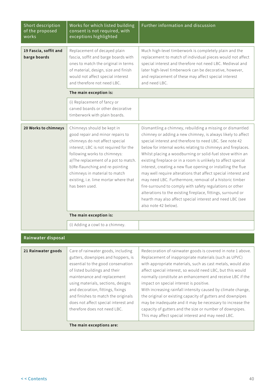| Short description<br>of the proposed<br>works | Works for which listed building<br>consent is not required, with<br>exceptions highlighted                                                                                                                                                                                                                                                                               | Further information and discussion                                                                                                                                                                                                                                                                                                                                                                                                                                                                                                                                                                                                                                                                                                                                                               |
|-----------------------------------------------|--------------------------------------------------------------------------------------------------------------------------------------------------------------------------------------------------------------------------------------------------------------------------------------------------------------------------------------------------------------------------|--------------------------------------------------------------------------------------------------------------------------------------------------------------------------------------------------------------------------------------------------------------------------------------------------------------------------------------------------------------------------------------------------------------------------------------------------------------------------------------------------------------------------------------------------------------------------------------------------------------------------------------------------------------------------------------------------------------------------------------------------------------------------------------------------|
| 19 Fascia, soffit and<br>barge boards         | Replacement of decayed plain<br>fascia, soffit and barge boards with<br>ones to match the original in terms<br>of material, design, size and finish<br>would not affect special interest<br>and therefore not need LBC.                                                                                                                                                  | Much high-level timberwork is completely plain and the<br>replacement to match of individual pieces would not affect<br>special interest and therefore not need LBC. Medieval and<br>later high-level timberwork can be decorative, however,<br>and replacement of these may affect special interest<br>and need LBC.                                                                                                                                                                                                                                                                                                                                                                                                                                                                            |
|                                               | The main exception is:                                                                                                                                                                                                                                                                                                                                                   |                                                                                                                                                                                                                                                                                                                                                                                                                                                                                                                                                                                                                                                                                                                                                                                                  |
|                                               | (i) Replacement of fancy or<br>carved boards or other decorative<br>timberwork with plain boards.                                                                                                                                                                                                                                                                        |                                                                                                                                                                                                                                                                                                                                                                                                                                                                                                                                                                                                                                                                                                                                                                                                  |
| 20 Works to chimneys                          | Chimneys should be kept in<br>good repair and minor repairs to<br>chimneys do not affect special<br>interest; LBC is not required for the<br>following works to chimneys:<br>a) The replacement of a pot to match.<br>b)Re-flaunching and re-pointing<br>chimneys in material to match<br>existing, i.e. lime mortar where that<br>has been used.                        | Dismantling a chimney, rebuilding a missing or dismantled<br>chimney or adding a new chimney, is always likely to affect<br>special interest and therefore to need LBC. See note 42<br>below for internal works relating to chimneys and fireplaces.<br>Whilst placing a woodburning or solid-fuel stove within an<br>existing fireplace or in a room is unlikely to affect special<br>interest, creating a new flue opening or installing the flue<br>may well require alterations that affect special interest and<br>may need LBC. Furthermore, removal of a historic timber<br>fire-surround to comply with safety regulations or other<br>alterations to the existing fireplace, fittings, surround or<br>hearth may also affect special interest and need LBC (see<br>also note 42 below). |
|                                               | The main exception is:                                                                                                                                                                                                                                                                                                                                                   |                                                                                                                                                                                                                                                                                                                                                                                                                                                                                                                                                                                                                                                                                                                                                                                                  |
|                                               | (i) Adding a cowl to a chimney.                                                                                                                                                                                                                                                                                                                                          |                                                                                                                                                                                                                                                                                                                                                                                                                                                                                                                                                                                                                                                                                                                                                                                                  |
| Rainwater disposal                            |                                                                                                                                                                                                                                                                                                                                                                          |                                                                                                                                                                                                                                                                                                                                                                                                                                                                                                                                                                                                                                                                                                                                                                                                  |
| 21 Rainwater goods                            | Care of rainwater goods, including<br>gutters, downpipes and hoppers, is<br>essential to the good conservation<br>of listed buildings and their<br>maintenance and replacement<br>using materials, sections, designs<br>and decoration, fittings, fixings<br>and finishes to match the originals<br>does not affect special interest and<br>therefore does not need LBC. | Redecoration of rainwater goods is covered in note 1 above.<br>Replacement of inappropriate materials (such as UPVC)<br>with appropriate materials, such as cast metals, would also<br>affect special interest, so would need LBC, but this would<br>normally constitute an enhancement and receive LBC if the<br>impact on special interest is positive.<br>With increasing rainfall intensity caused by climate change,<br>the original or existing capacity of gutters and downpipes<br>may be inadequate and it may be necessary to increase the<br>capacity of gutters and the size or number of downpipes.<br>This may affect special interest and may need LBC.                                                                                                                           |
|                                               | The main exceptions are:                                                                                                                                                                                                                                                                                                                                                 |                                                                                                                                                                                                                                                                                                                                                                                                                                                                                                                                                                                                                                                                                                                                                                                                  |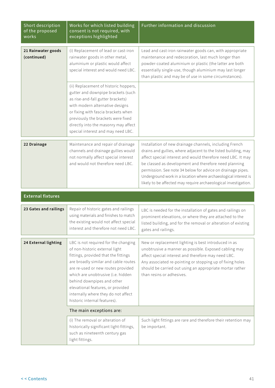| Short description<br>of the proposed<br>works | Works for which listed building<br>consent is not required, with<br>exceptions highlighted                                                                                                                                                                                                                                                                                   | Further information and discussion                                                                                                                                                                                                                                                                                                                                                                                                                      |
|-----------------------------------------------|------------------------------------------------------------------------------------------------------------------------------------------------------------------------------------------------------------------------------------------------------------------------------------------------------------------------------------------------------------------------------|---------------------------------------------------------------------------------------------------------------------------------------------------------------------------------------------------------------------------------------------------------------------------------------------------------------------------------------------------------------------------------------------------------------------------------------------------------|
| 21 Rainwater goods<br>(continued)             | (i) Replacement of lead or cast-iron<br>rainwater goods in other metal,<br>aluminium or plastic would affect<br>special interest and would need LBC.                                                                                                                                                                                                                         | Lead and cast-iron rainwater goods can, with appropriate<br>maintenance and redecoration, last much longer than<br>powder-coated aluminium or plastic (the latter are both<br>essentially single-use, though aluminium may last longer<br>than plastic and may be of use in some circumstances).                                                                                                                                                        |
|                                               | (ii) Replacement of historic hoppers,<br>gutter and downpipe brackets (such<br>as rise-and-fall gutter brackets)<br>with modern alternative designs<br>or fixing with fascia brackets when<br>previously the brackets were fixed<br>directly into the masonry may affect<br>special interest and may need LBC.                                                               |                                                                                                                                                                                                                                                                                                                                                                                                                                                         |
| 22 Drainage                                   | Maintenance and repair of drainage<br>channels and drainage gullies would<br>not normally affect special interest<br>and would not therefore need LBC.                                                                                                                                                                                                                       | Installation of new drainage channels, including French<br>drains and gullies, where adjacent to the listed building, may<br>affect special interest and would therefore need LBC. It may<br>be classed as development and therefore need planning<br>permission. See note 34 below for advice on drainage pipes.<br>Underground work in a location where archaeological interest is<br>likely to be affected may require archaeological investigation. |
| <b>External fixtures</b>                      |                                                                                                                                                                                                                                                                                                                                                                              |                                                                                                                                                                                                                                                                                                                                                                                                                                                         |
| 23 Gates and railings                         | Repair of historic gates and railings<br>using materials and finishes to match<br>the existing would not affect special<br>interest and therefore not need LBC.                                                                                                                                                                                                              | LBC is needed for the installation of gates and railings on<br>prominent elevations, or where they are attached to the<br>listed building, and for the removal or alteration of existing<br>gates and railings.                                                                                                                                                                                                                                         |
| 24 External lighting                          | LBC is not required for the changing<br>of non-historic external light<br>fittings, provided that the fittings<br>are broadly similar and cable routes<br>are re-used or new routes provided<br>which are unobtrusive (i.e. hidden<br>behind downpipes and other<br>elevational features, or provided<br>internally where they do not affect<br>historic internal features). | New or replacement lighting is best introduced in as<br>unobtrusive a manner as possible. Exposed cabling may<br>affect special interest and therefore may need LBC.<br>Any associated re-pointing or stopping up of fixing holes<br>should be carried out using an appropriate mortar rather<br>than resins or adhesives.                                                                                                                              |
|                                               | The main exceptions are:                                                                                                                                                                                                                                                                                                                                                     |                                                                                                                                                                                                                                                                                                                                                                                                                                                         |
|                                               | (i) The removal or alteration of<br>historically significant light-fittings,<br>such as nineteenth century gas<br>light fittings.                                                                                                                                                                                                                                            | Such light fittings are rare and therefore their retention may<br>be important.                                                                                                                                                                                                                                                                                                                                                                         |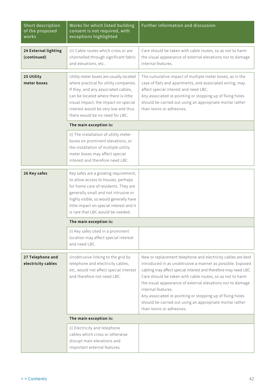| Short description<br>of the proposed<br>works | Works for which listed building<br>consent is not required, with<br>exceptions highlighted                                                                                                                                                                                             | <b>Further information and discussion</b>                                                                                                                                                                                                                                                                                                                                                                                                                                                            |
|-----------------------------------------------|----------------------------------------------------------------------------------------------------------------------------------------------------------------------------------------------------------------------------------------------------------------------------------------|------------------------------------------------------------------------------------------------------------------------------------------------------------------------------------------------------------------------------------------------------------------------------------------------------------------------------------------------------------------------------------------------------------------------------------------------------------------------------------------------------|
| 24 External lighting<br>(continued)           | (ii) Cable routes which cross or are<br>channelled through significant fabric<br>and elevations, etc.                                                                                                                                                                                  | Care should be taken with cable routes, so as not to harm<br>the visual appearance of external elevations nor to damage<br>internal features.                                                                                                                                                                                                                                                                                                                                                        |
| 25 Utility<br>meter boxes                     | Utility meter boxes are usually located<br>where practical for utility companies.<br>If they, and any associated cables,<br>can be located where there is little<br>visual impact, the impact on special<br>interest would be very low and thus<br>there would be no need for LBC.     | The cumulative impact of multiple meter boxes, as in the<br>case of flats and apartments, and associated wiring, may<br>affect special interest and need LBC.<br>Any associated re-pointing or stopping up of fixing holes<br>should be carried out using an appropriate mortar rather<br>than resins or adhesives.                                                                                                                                                                                  |
|                                               | The main exception is:                                                                                                                                                                                                                                                                 |                                                                                                                                                                                                                                                                                                                                                                                                                                                                                                      |
|                                               | (i) The installation of utility meter<br>boxes on prominent elevations, or<br>the installation of multiple utility<br>meter boxes may affect special<br>interest and therefore need LBC.                                                                                               |                                                                                                                                                                                                                                                                                                                                                                                                                                                                                                      |
| 26 Key safes                                  | Key safes are a growing requirement,<br>to allow access to houses, perhaps<br>for home care of residents. They are<br>generally small and not intrusive or<br>highly visible, so would generally have<br>little impact on special interest and it<br>is rare that LBC would be needed. |                                                                                                                                                                                                                                                                                                                                                                                                                                                                                                      |
|                                               | The main exception is:                                                                                                                                                                                                                                                                 |                                                                                                                                                                                                                                                                                                                                                                                                                                                                                                      |
|                                               | (i) Key safes sited in a prominent<br>location may affect special interest<br>and need LBC.                                                                                                                                                                                            |                                                                                                                                                                                                                                                                                                                                                                                                                                                                                                      |
| 27 Telephone and<br>electricity cables        | Unobtrusive linking to the grid by<br>telephone and electricity cables,<br>etc, would not affect special interest<br>and therefore not need LBC.                                                                                                                                       | New or replacement telephone and electricity cables are best<br>introduced in as unobtrusive a manner as possible. Exposed<br>cabling may affect special interest and therefore may need LBC.<br>Care should be taken with cable routes, so as not to harm<br>the visual appearance of external elevations nor to damage<br>internal features.<br>Any associated re-pointing or stopping up of fixing holes<br>should be carried out using an appropriate mortar rather<br>than resins or adhesives. |
|                                               | The main exception is:                                                                                                                                                                                                                                                                 |                                                                                                                                                                                                                                                                                                                                                                                                                                                                                                      |
|                                               | (i) Electricity and telephone<br>cables which cross or otherwise<br>disrupt main elevations and<br>important external features.                                                                                                                                                        |                                                                                                                                                                                                                                                                                                                                                                                                                                                                                                      |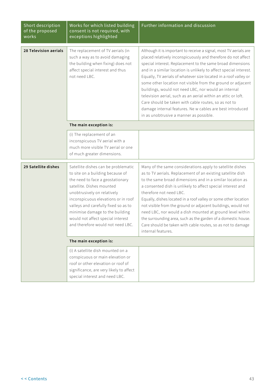| Short description<br>of the proposed<br>works | Works for which listed building<br>consent is not required, with<br>exceptions highlighted                                                                                                                                                                                                                                                                          | Further information and discussion                                                                                                                                                                                                                                                                                                                                                                                                                                                                                                                                                                                                                                                                |
|-----------------------------------------------|---------------------------------------------------------------------------------------------------------------------------------------------------------------------------------------------------------------------------------------------------------------------------------------------------------------------------------------------------------------------|---------------------------------------------------------------------------------------------------------------------------------------------------------------------------------------------------------------------------------------------------------------------------------------------------------------------------------------------------------------------------------------------------------------------------------------------------------------------------------------------------------------------------------------------------------------------------------------------------------------------------------------------------------------------------------------------------|
| 28 Television aerials                         | The replacement of TV aerials (in<br>such a way as to avoid damaging<br>the building when fixing) does not<br>affect special interest and thus<br>not need LBC.                                                                                                                                                                                                     | Although it is important to receive a signal, most TV aerials are<br>placed relatively inconspicuously and therefore do not affect<br>special interest. Replacement to the same broad dimensions<br>and in a similar location is unlikely to affect special interest.<br>Equally, TV aerials of whatever size located in a roof valley or<br>some other location not visible from the ground or adjacent<br>buildings, would not need LBC, nor would an internal<br>television aerial, such as an aerial within an attic or loft.<br>Care should be taken with cable routes, so as not to<br>damage internal features. Ne w cables are best introduced<br>in as unobtrusive a manner as possible. |
|                                               | The main exception is:                                                                                                                                                                                                                                                                                                                                              |                                                                                                                                                                                                                                                                                                                                                                                                                                                                                                                                                                                                                                                                                                   |
|                                               | (i) The replacement of an<br>inconspicuous TV aerial with a<br>much more visible TV aerial or one<br>of much greater dimensions.                                                                                                                                                                                                                                    |                                                                                                                                                                                                                                                                                                                                                                                                                                                                                                                                                                                                                                                                                                   |
| 29 Satellite dishes                           | Satellite dishes can be problematic<br>to site on a building because of<br>the need to face a geostationary<br>satellite. Dishes mounted<br>unobtrusively on relatively<br>inconspicuous elevations or in roof<br>valleys and carefully fixed so as to<br>minimise damage to the building<br>would not affect special interest<br>and therefore would not need LBC. | Many of the same considerations apply to satellite dishes<br>as to TV aerials. Replacement of an existing satellite dish<br>to the same broad dimensions and in a similar location as<br>a consented dish is unlikely to affect special interest and<br>therefore not need LBC.<br>Equally, dishes located in a roof valley or some other location<br>not visible from the ground or adjacent buildings, would not<br>need LBC, nor would a dish mounted at ground level within<br>the surrounding area, such as the garden of a domestic house.<br>Care should be taken with cable routes, so as not to damage<br>internal features.                                                             |
|                                               | The main exception is:                                                                                                                                                                                                                                                                                                                                              |                                                                                                                                                                                                                                                                                                                                                                                                                                                                                                                                                                                                                                                                                                   |
|                                               | (i) A satellite dish mounted on a<br>conspicuous or main elevation or<br>roof or other elevation or roof of<br>significance, are very likely to affect<br>special interest and need LBC.                                                                                                                                                                            |                                                                                                                                                                                                                                                                                                                                                                                                                                                                                                                                                                                                                                                                                                   |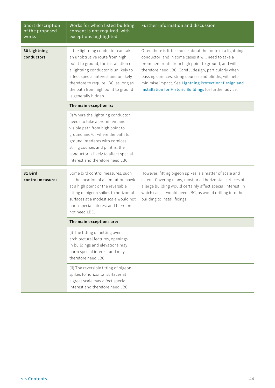| Short description<br>of the proposed<br>works | Works for which listed building<br>consent is not required, with<br>exceptions highlighted                                                                                                                                                                                                          | Further information and discussion                                                                                                                                                                                                                                                                                                                                                                                |
|-----------------------------------------------|-----------------------------------------------------------------------------------------------------------------------------------------------------------------------------------------------------------------------------------------------------------------------------------------------------|-------------------------------------------------------------------------------------------------------------------------------------------------------------------------------------------------------------------------------------------------------------------------------------------------------------------------------------------------------------------------------------------------------------------|
| 30 Lightning<br>conductors                    | If the lightning conductor can take<br>an unobtrusive route from high<br>point to ground, the installation of<br>a lightning conductor is unlikely to<br>affect special interest and unlikely<br>therefore to require LBC, as long as<br>the path from high point to ground<br>is generally hidden. | Often there is little choice about the route of a lightning<br>conductor, and in some cases it will need to take a<br>prominent route from high point to ground, and will<br>therefore need LBC. Careful design, particularly when<br>passing cornices, string courses and plinths, will help<br>minimise impact. See Lightning Protection: Design and<br>Installation for Historic Buildings for further advice. |
|                                               | The main exception is:                                                                                                                                                                                                                                                                              |                                                                                                                                                                                                                                                                                                                                                                                                                   |
|                                               | (i) Where the lightning conductor<br>needs to take a prominent and<br>visible path from high point to<br>ground and/or where the path to<br>ground interferes with cornices,<br>string courses and plinths, the<br>conductor is likely to affect special<br>interest and therefore need LBC.        |                                                                                                                                                                                                                                                                                                                                                                                                                   |
| 31 Bird<br>control measures                   | Some bird control measures, such<br>as the location of an imitation hawk<br>at a high point or the reversible<br>fitting of pigeon spikes to horizontal<br>surfaces at a modest scale would not<br>harm special interest and therefore<br>not need LBC.                                             | However, fitting pigeon spikes is a matter of scale and<br>extent. Covering many, most or all horizontal surfaces of<br>a large building would certainly affect special interest, in<br>which case it would need LBC, as would drilling into the<br>building to install fixings.                                                                                                                                  |
|                                               | The main exceptions are:                                                                                                                                                                                                                                                                            |                                                                                                                                                                                                                                                                                                                                                                                                                   |
|                                               | (i) The fitting of netting over<br>architectural features, openings<br>in buildings and elevations may<br>harm special interest and may<br>therefore need LBC.                                                                                                                                      |                                                                                                                                                                                                                                                                                                                                                                                                                   |
|                                               | (ii) The reversible fitting of pigeon<br>spikes to horizontal surfaces at<br>a great scale may affect special<br>interest and therefore need LBC.                                                                                                                                                   |                                                                                                                                                                                                                                                                                                                                                                                                                   |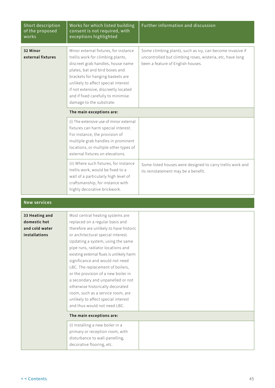| Short description<br>of the proposed<br>works                     | Works for which listed building<br>consent is not required, with<br>exceptions highlighted                                                                                                                                                                                                                                                                                                                                                                                                                                                                                    | Further information and discussion                                                                                                                          |
|-------------------------------------------------------------------|-------------------------------------------------------------------------------------------------------------------------------------------------------------------------------------------------------------------------------------------------------------------------------------------------------------------------------------------------------------------------------------------------------------------------------------------------------------------------------------------------------------------------------------------------------------------------------|-------------------------------------------------------------------------------------------------------------------------------------------------------------|
| 32 Minor<br>external fixtures                                     | Minor external fixtures, for instance<br>trellis work for climbing plants,<br>discreet grab handles, house name<br>plates, bat and bird boxes and<br>brackets for hanging baskets are<br>unlikely to affect special interest<br>if not extensive, discreetly located<br>and if fixed carefully to minimise<br>damage to the substrate.                                                                                                                                                                                                                                        | Some climbing plants, such as ivy, can become invasive if<br>uncontrolled but climbing roses, wisteria, etc, have long<br>been a feature of English houses. |
|                                                                   | The main exceptions are:                                                                                                                                                                                                                                                                                                                                                                                                                                                                                                                                                      |                                                                                                                                                             |
|                                                                   | (i) The extensive use of minor external<br>fixtures can harm special interest.<br>For instance, the provision of<br>multiple grab handles in prominent<br>locations, or multiple other types of<br>external fixtures on elevations.                                                                                                                                                                                                                                                                                                                                           |                                                                                                                                                             |
|                                                                   | (ii) Where such fixtures, for instance<br>trellis work, would be fixed to a<br>wall of a particularly high level of<br>craftsmanship, for instance with<br>highly decorative brickwork.                                                                                                                                                                                                                                                                                                                                                                                       | Some listed houses were designed to carry trellis work and<br>its reinstatement may be a benefit.                                                           |
| <b>New services</b>                                               |                                                                                                                                                                                                                                                                                                                                                                                                                                                                                                                                                                               |                                                                                                                                                             |
| 33 Heating and<br>domestic hot<br>and cold water<br>installations | Most central heating systems are<br>replaced on a regular basis and<br>therefore are unlikely to have historic<br>or architectural special interest.<br>Updating a system, using the same<br>pipe runs, radiator locations and<br>existing external flues is unlikely harm<br>significance and would not need<br>LBC. The replacement of boilers,<br>or the provision of a new boiler in<br>a secondary and unpanelled or not<br>otherwise historically decorated<br>room, such as a service room, are<br>unlikely to affect special interest<br>and thus would not need LBC. |                                                                                                                                                             |
|                                                                   | The main exceptions are:                                                                                                                                                                                                                                                                                                                                                                                                                                                                                                                                                      |                                                                                                                                                             |
|                                                                   | (i) Installing a new boiler in a<br>primary or reception room, with<br>disturbance to wall-panelling,<br>decorative flooring, etc.                                                                                                                                                                                                                                                                                                                                                                                                                                            |                                                                                                                                                             |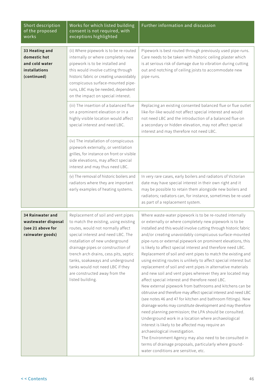| Short description<br>of the proposed<br>works                                    | Works for which listed building<br>consent is not required, with<br>exceptions highlighted                                                                                                                                                                                                                                                                                                           | Further information and discussion                                                                                                                                                                                                                                                                                                                                                                                                                                                                                                                                                                                                                                                                                                                                                                                                                                                                                                                                                                                                                                                                                                                                                                                                                                                                                                       |
|----------------------------------------------------------------------------------|------------------------------------------------------------------------------------------------------------------------------------------------------------------------------------------------------------------------------------------------------------------------------------------------------------------------------------------------------------------------------------------------------|------------------------------------------------------------------------------------------------------------------------------------------------------------------------------------------------------------------------------------------------------------------------------------------------------------------------------------------------------------------------------------------------------------------------------------------------------------------------------------------------------------------------------------------------------------------------------------------------------------------------------------------------------------------------------------------------------------------------------------------------------------------------------------------------------------------------------------------------------------------------------------------------------------------------------------------------------------------------------------------------------------------------------------------------------------------------------------------------------------------------------------------------------------------------------------------------------------------------------------------------------------------------------------------------------------------------------------------|
| 33 Heating and<br>domestic hot<br>and cold water<br>installations<br>(continued) | (ii) Where pipework is to be re-routed<br>internally or where completely new<br>pipework is to be installed and<br>this would involve cutting through<br>historic fabric or creating unavoidably<br>conspicuous surface-mounted pipe-<br>runs, LBC may be needed, dependent<br>on the impact on special interest.                                                                                    | Pipework is best routed through previously used pipe-runs.<br>Care needs to be taken with historic ceiling plaster which<br>is at serious risk of damage due to vibration during cutting<br>out and notching of ceiling joists to accommodate new<br>pipe-runs.                                                                                                                                                                                                                                                                                                                                                                                                                                                                                                                                                                                                                                                                                                                                                                                                                                                                                                                                                                                                                                                                          |
|                                                                                  | (iii) The insertion of a balanced flue<br>on a prominent elevation or in a<br>highly visible location would affect<br>special interest and need LBC.                                                                                                                                                                                                                                                 | Replacing an existing consented balanced flue or flue outlet<br>like-for-like would not affect special interest and would<br>not need LBC and the introduction of a balanced flue on<br>a secondary or hidden elevation, may not affect special<br>interest and may therefore not need LBC.                                                                                                                                                                                                                                                                                                                                                                                                                                                                                                                                                                                                                                                                                                                                                                                                                                                                                                                                                                                                                                              |
|                                                                                  | (iv) The installation of conspicuous<br>pipework externally, or ventilation<br>grilles, for instance on front or visible<br>side elevations, may affect special<br>interest and may thus need LBC.                                                                                                                                                                                                   |                                                                                                                                                                                                                                                                                                                                                                                                                                                                                                                                                                                                                                                                                                                                                                                                                                                                                                                                                                                                                                                                                                                                                                                                                                                                                                                                          |
|                                                                                  | (v) The removal of historic boilers and<br>radiators where they are important<br>early examples of heating systems.                                                                                                                                                                                                                                                                                  | In very rare cases, early boilers and radiators of Victorian<br>date may have special interest in their own right and it<br>may be possible to retain them alongside new boilers and<br>radiators; radiators can, for instance, sometimes be re-used<br>as part of a replacement system.                                                                                                                                                                                                                                                                                                                                                                                                                                                                                                                                                                                                                                                                                                                                                                                                                                                                                                                                                                                                                                                 |
| 34 Rainwater and<br>wastewater disposal<br>(see 21 above for<br>rainwater goods) | Replacement of soil and vent pipes<br>to match the existing, using existing<br>routes, would not normally affect<br>special interest and need LBC. The<br>installation of new underground<br>drainage pipes or construction of<br>trench arch drains, cess pits, septic<br>tanks, soakaways and underground<br>tanks would not need LBC if they<br>are constructed away from the<br>listed building. | Where waste-water pipework is to be re-routed internally<br>or externally or where completely new pipework is to be<br>installed and this would involve cutting through historic fabric<br>and/or creating unavoidably conspicuous surface-mounted<br>pipe-runs or external pipework on prominent elevations, this<br>is likely to affect special interest and therefore need LBC.<br>Replacement of soil and vent pipes to match the existing and<br>using existing routes is unlikely to affect special interest but<br>replacement of soil and vent pipes in alternative materials<br>and new soil and vent pipes wherever they are located may<br>affect special interest and therefore need LBC.<br>New external pipework from bathrooms and kitchens can be<br>obtrusive and therefore may affect special interest and need LBC<br>(see notes 46 and 47 for kitchen and bathroom fittings). New<br>drainage works may constitute development and may therefore<br>need planning permission; the LPA should be consulted.<br>Underground work in a location where archaeological<br>interest is likely to be affected may require an<br>archaeological investigation.<br>The Environment Agency may also need to be consulted in<br>terms of drainage proposals, particularly where ground-<br>water conditions are sensitive, etc. |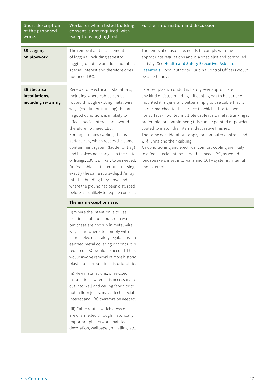| Short description<br>of the proposed<br>works                 | Works for which listed building<br>consent is not required, with<br>exceptions highlighted                                                                                                                                                                                                                                                                                                                                                                                                                                                                                                                                                                        | Further information and discussion                                                                                                                                                                                                                                                                                                                                                                                                                                                                                                                                                                                                                                                                                              |
|---------------------------------------------------------------|-------------------------------------------------------------------------------------------------------------------------------------------------------------------------------------------------------------------------------------------------------------------------------------------------------------------------------------------------------------------------------------------------------------------------------------------------------------------------------------------------------------------------------------------------------------------------------------------------------------------------------------------------------------------|---------------------------------------------------------------------------------------------------------------------------------------------------------------------------------------------------------------------------------------------------------------------------------------------------------------------------------------------------------------------------------------------------------------------------------------------------------------------------------------------------------------------------------------------------------------------------------------------------------------------------------------------------------------------------------------------------------------------------------|
| 35 Lagging<br>on pipework                                     | The removal and replacement<br>of lagging, including asbestos<br>lagging, on pipework does not affect<br>special interest and therefore does<br>not need LBC.                                                                                                                                                                                                                                                                                                                                                                                                                                                                                                     | The removal of asbestos needs to comply with the<br>appropriate regulations and is a specialist and controlled<br>activity. See Health and Safety Executive: Asbestos<br>Essentials. Local authority Building Control Officers would<br>be able to advise.                                                                                                                                                                                                                                                                                                                                                                                                                                                                      |
| <b>36 Electrical</b><br>installations,<br>including re-wiring | Renewal of electrical installations,<br>including where cables can be<br>routed through existing metal wire<br>ways (conduit or trunking) that are<br>in good condition, is unlikely to<br>affect special interest and would<br>therefore not need LBC.<br>For larger mains cabling, that is<br>surface run, which reuses the same<br>containment system (ladder or tray)<br>and involves no changes to the route<br>or fixings, LBC is unlikely to be needed.<br>Buried cables in the ground reusing<br>exactly the same route/depth/entry<br>into the building they serve and<br>where the ground has been disturbed<br>before are unlikely to require consent. | Exposed plastic conduit is hardly ever appropriate in<br>any kind of listed building - if cabling has to be surface-<br>mounted it is generally better simply to use cable that is<br>colour-matched to the surface to which it is attached.<br>For surface-mounted multiple cable runs, metal trunking is<br>preferable for containment; this can be painted or powder-<br>coated to match the internal decorative finishes.<br>The same considerations apply for computer controls and<br>wi-fi units and their cabling.<br>Air conditioning and electrical comfort cooling are likely<br>to affect special interest and thus need LBC, as would<br>loudspeakers inset into walls and CCTV systems, internal<br>and external. |
|                                                               | The main exceptions are:                                                                                                                                                                                                                                                                                                                                                                                                                                                                                                                                                                                                                                          |                                                                                                                                                                                                                                                                                                                                                                                                                                                                                                                                                                                                                                                                                                                                 |
|                                                               | (i) Where the intention is to use<br>existing cable runs buried in walls<br>but these are not run in metal wire<br>ways, and where, to comply with<br>current electrical safety regulations, an<br>earthed metal covering or conduit is<br>required, LBC would be needed if this<br>would involve removal of more historic<br>plaster or surrounding historic fabric.                                                                                                                                                                                                                                                                                             |                                                                                                                                                                                                                                                                                                                                                                                                                                                                                                                                                                                                                                                                                                                                 |
|                                                               | (ii) New installations, or re-used<br>installations, where it is necessary to<br>cut into wall and ceiling fabric or to<br>notch floor joists, may affect special<br>interest and LBC therefore be needed.                                                                                                                                                                                                                                                                                                                                                                                                                                                        |                                                                                                                                                                                                                                                                                                                                                                                                                                                                                                                                                                                                                                                                                                                                 |
|                                                               | (iii) Cable routes which cross or<br>are channelled through historically<br>important plasterwork, painted<br>decoration, wallpaper, panelling, etc.                                                                                                                                                                                                                                                                                                                                                                                                                                                                                                              |                                                                                                                                                                                                                                                                                                                                                                                                                                                                                                                                                                                                                                                                                                                                 |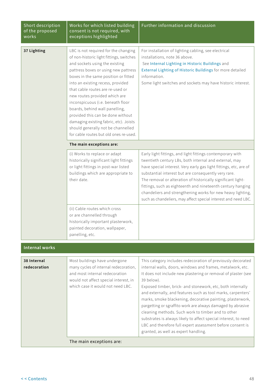| Short description<br>of the proposed<br>works | Works for which listed building<br>consent is not required, with<br>exceptions highlighted                                                                                                                                                                                                                                                                                                                                                                                                                                                         | Further information and discussion                                                                                                                                                                                                                                                                                                                                                                                                                                                                                                                                                                                                                                                                 |
|-----------------------------------------------|----------------------------------------------------------------------------------------------------------------------------------------------------------------------------------------------------------------------------------------------------------------------------------------------------------------------------------------------------------------------------------------------------------------------------------------------------------------------------------------------------------------------------------------------------|----------------------------------------------------------------------------------------------------------------------------------------------------------------------------------------------------------------------------------------------------------------------------------------------------------------------------------------------------------------------------------------------------------------------------------------------------------------------------------------------------------------------------------------------------------------------------------------------------------------------------------------------------------------------------------------------------|
| 37 Lighting                                   | LBC is not required for the changing<br>of non-historic light fittings, switches<br>and sockets using the existing<br>pattress boxes or using new pattress<br>boxes in the same position or fitted<br>into an existing recess, provided<br>that cable routes are re-used or<br>new routes provided which are<br>inconspicuous (i.e. beneath floor<br>boards, behind wall panelling,<br>provided this can be done without<br>damaging existing fabric, etc). Joists<br>should generally not be channelled<br>for cable routes but old ones re-used. | For installation of lighting cabling, see electrical<br>installations, note 36 above.<br>See Internal Lighting in Historic Buildings and<br>External Lighting of Historic Buildings for more detailed<br>information.<br>Some light switches and sockets may have historic interest.                                                                                                                                                                                                                                                                                                                                                                                                               |
|                                               | The main exceptions are:                                                                                                                                                                                                                                                                                                                                                                                                                                                                                                                           |                                                                                                                                                                                                                                                                                                                                                                                                                                                                                                                                                                                                                                                                                                    |
|                                               | (i) Works to replace or adapt<br>historically significant light fittings<br>or light fittings in post-war listed<br>buildings which are appropriate to<br>their date.                                                                                                                                                                                                                                                                                                                                                                              | Early light fittings, and light fittings contemporary with<br>twentieth century LBs, both internal and external, may<br>have special interest. Very early gas light fittings, etc, are of<br>substantial interest but are consequently very rare.<br>The removal or alteration of historically significant light-<br>fittings, such as eighteenth and nineteenth century hanging<br>chandeliers and strengthening works for new heavy lighting,<br>such as chandeliers, may affect special interest and need LBC.                                                                                                                                                                                  |
|                                               | (ii) Cable routes which cross<br>or are channelled through<br>historically important plasterwork,<br>painted decoration, wallpaper,<br>panelling, etc.                                                                                                                                                                                                                                                                                                                                                                                             |                                                                                                                                                                                                                                                                                                                                                                                                                                                                                                                                                                                                                                                                                                    |
| <b>Internal works</b>                         |                                                                                                                                                                                                                                                                                                                                                                                                                                                                                                                                                    |                                                                                                                                                                                                                                                                                                                                                                                                                                                                                                                                                                                                                                                                                                    |
| 38 Internal<br>redecoration                   | Most buildings have undergone<br>many cycles of internal redecoration,<br>and most internal redecoration<br>would not affect special interest, in<br>which case it would not need LBC.                                                                                                                                                                                                                                                                                                                                                             | This category includes redecoration of previously decorated<br>internal walls, doors, windows and frames, metalwork, etc.<br>It does not include new plastering or removal of plaster (see<br>39 below).<br>Exposed timber, brick- and stonework, etc, both internally<br>and externally, and features such as tool marks, carpenters'<br>marks, smoke blackening, decorative painting, plasterwork,<br>pargetting or sgraffito work are always damaged by abrasive<br>cleaning methods. Such work to timber and to other<br>substrates is always likely to affect special interest, to need<br>LBC and therefore full expert assessment before consent is<br>granted, as well as expert handling. |
|                                               | The main exceptions are:                                                                                                                                                                                                                                                                                                                                                                                                                                                                                                                           |                                                                                                                                                                                                                                                                                                                                                                                                                                                                                                                                                                                                                                                                                                    |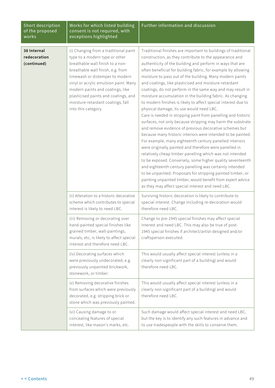| Short description<br>of the proposed<br>works | Works for which listed building<br>consent is not required, with<br>exceptions highlighted                                                                                                                                                                                                                                                                           | Further information and discussion                                                                                                                                                                                                                                                                                                                                                                                                                                                                                                                                                                                                                                                                                                                                                                                                                                                                                                                                                                                                                                                                                                                                                                                                                                                                                                                                          |
|-----------------------------------------------|----------------------------------------------------------------------------------------------------------------------------------------------------------------------------------------------------------------------------------------------------------------------------------------------------------------------------------------------------------------------|-----------------------------------------------------------------------------------------------------------------------------------------------------------------------------------------------------------------------------------------------------------------------------------------------------------------------------------------------------------------------------------------------------------------------------------------------------------------------------------------------------------------------------------------------------------------------------------------------------------------------------------------------------------------------------------------------------------------------------------------------------------------------------------------------------------------------------------------------------------------------------------------------------------------------------------------------------------------------------------------------------------------------------------------------------------------------------------------------------------------------------------------------------------------------------------------------------------------------------------------------------------------------------------------------------------------------------------------------------------------------------|
| 38 Internal<br>redecoration<br>(continued)    | (i) Changing from a traditional paint<br>type to a modern type or other<br>breathable wall finish to a non-<br>breathable wall finish, e.g. from<br>limewash or distemper to modern<br>vinyl or acrylic emulsion paint. Many<br>modern paints and coatings, like<br>plasticised paints and coatings, and<br>moisture-retardant coatings, fall<br>into this category. | Traditional finishes are important to buildings of traditional<br>construction, as they contribute to the appearance and<br>authenticity of the building and perform in ways that are<br>often beneficial for building fabric, for example by allowing<br>moisture to pass out of the building. Many modern paints<br>and coatings, like plasticised and moisture-retardant<br>coatings, do not perform in the same way and may result in<br>moisture accumulation in the building fabric. As changing<br>to modern finishes is likely to affect special interest due to<br>physical damage, its use would need LBC.<br>Care is needed in stripping paint from panelling and historic<br>surfaces, not only because stripping may harm the substrate<br>and remove evidence of previous decorative schemes but<br>because many historic interiors were intended to be painted.<br>For example, many eighteenth century panelled interiors<br>were originally painted and therefore were panelled in<br>relatively cheap timber panelling which was not intended<br>to be exposed. Conversely, some higher quality seventeenth<br>and eighteenth century panelling was certainly intended<br>to be unpainted. Proposals for stripping painted timber, or<br>painting unpainted timber, would benefit from expert advice<br>as they may affect special interest and need LBC. |
|                                               | (ii) Alteration to a historic decorative<br>scheme which contributes to special<br>interest is likely to need LBC.                                                                                                                                                                                                                                                   | Surviving historic decoration is likely to contribute to<br>special interest. Change including re-decoration would<br>therefore need LBC.                                                                                                                                                                                                                                                                                                                                                                                                                                                                                                                                                                                                                                                                                                                                                                                                                                                                                                                                                                                                                                                                                                                                                                                                                                   |
|                                               | (iii) Removing or decorating over<br>hand-painted special finishes like<br>grained timber, wall-paintings,<br>murals, etc, is likely to affect special<br>interest and therefore need LBC.                                                                                                                                                                           | Change to pre-1945 special finishes may affect special<br>interest and need LBC. This may also be true of post-<br>1945 special finishes if architect/artist-designed and/or<br>craftsperson-executed.                                                                                                                                                                                                                                                                                                                                                                                                                                                                                                                                                                                                                                                                                                                                                                                                                                                                                                                                                                                                                                                                                                                                                                      |
|                                               | (iv) Decorating surfaces which<br>were previously undecorated, e.g.<br>previously unpainted brickwork,<br>stonework, or timber.                                                                                                                                                                                                                                      | This would usually affect special interest (unless in a<br>clearly non-significant part of a building) and would<br>therefore need LBC.                                                                                                                                                                                                                                                                                                                                                                                                                                                                                                                                                                                                                                                                                                                                                                                                                                                                                                                                                                                                                                                                                                                                                                                                                                     |
|                                               | (v) Removing decorative finishes<br>from surfaces which were previously<br>decorated, e.g. stripping brick or<br>stone which was previously painted.                                                                                                                                                                                                                 | This would usually affect special interest (unless in a<br>clearly non-significant part of a building) and would<br>therefore need LBC.                                                                                                                                                                                                                                                                                                                                                                                                                                                                                                                                                                                                                                                                                                                                                                                                                                                                                                                                                                                                                                                                                                                                                                                                                                     |
|                                               | (vi) Causing damage to or<br>concealing features of special<br>interest, like mason's marks, etc.                                                                                                                                                                                                                                                                    | Such damage would affect special interest and need LBC,<br>but the key is to identify any such features in advance and<br>to use tradespeople with the skills to conserve them.                                                                                                                                                                                                                                                                                                                                                                                                                                                                                                                                                                                                                                                                                                                                                                                                                                                                                                                                                                                                                                                                                                                                                                                             |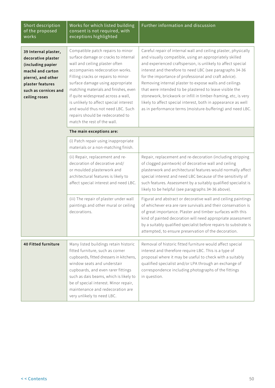| Short description<br>of the proposed<br>works                                                                                                                          | Works for which listed building<br>consent is not required, with<br>exceptions highlighted                                                                                                                                                                                                                                                                                                                                                                | <b>Further information and discussion</b>                                                                                                                                                                                                                                                                                                                                                                                                                                                                                                                                                                                            |
|------------------------------------------------------------------------------------------------------------------------------------------------------------------------|-----------------------------------------------------------------------------------------------------------------------------------------------------------------------------------------------------------------------------------------------------------------------------------------------------------------------------------------------------------------------------------------------------------------------------------------------------------|--------------------------------------------------------------------------------------------------------------------------------------------------------------------------------------------------------------------------------------------------------------------------------------------------------------------------------------------------------------------------------------------------------------------------------------------------------------------------------------------------------------------------------------------------------------------------------------------------------------------------------------|
| 39 Internal plaster,<br>decorative plaster<br>(including papier<br>maché and carton<br>pierre), and other<br>plaster features<br>such as cornices and<br>ceiling roses | Compatible patch repairs to minor<br>surface damage or cracks to internal<br>wall and ceiling plaster often<br>accompanies redecoration works.<br>Filling cracks or repairs to minor<br>surface damage using appropriate<br>matching materials and finishes, even<br>if quite widespread across a wall,<br>is unlikely to affect special interest<br>and would thus not need LBC. Such<br>repairs should be redecorated to<br>match the rest of the wall. | Careful repair of internal wall and ceiling plaster, physically<br>and visually compatible, using an appropriately skilled<br>and experienced craftsperson, is unlikely to affect special<br>interest and therefore to need LBC (see paragraphs 34-36<br>for the importance of professional and craft advice).<br>Removing internal plaster to expose walls and ceilings<br>that were intended to be plastered to leave visible the<br>stonework, brickwork or infill in timber-framing, etc, is very<br>likely to affect special interest, both in appearance as well<br>as in performance terms (moisture-buffering) and need LBC. |
|                                                                                                                                                                        | The main exceptions are:                                                                                                                                                                                                                                                                                                                                                                                                                                  |                                                                                                                                                                                                                                                                                                                                                                                                                                                                                                                                                                                                                                      |
|                                                                                                                                                                        | (i) Patch repair using inappropriate<br>materials or a non-matching finish.                                                                                                                                                                                                                                                                                                                                                                               |                                                                                                                                                                                                                                                                                                                                                                                                                                                                                                                                                                                                                                      |
|                                                                                                                                                                        | (ii) Repair, replacement and re-<br>decoration of decorative and/<br>or moulded plasterwork and<br>architectural features is likely to<br>affect special interest and need LBC.                                                                                                                                                                                                                                                                           | Repair, replacement and re-decoration (including stripping<br>of clogged paintwork) of decorative wall and ceiling<br>plasterwork and architectural features would normally affect<br>special interest and need LBC because of the sensitivity of<br>such features. Assessment by a suitably qualified specialist is<br>likely to be helpful (see paragraphs 34-36 above).                                                                                                                                                                                                                                                           |
|                                                                                                                                                                        | (iii) The repair of plaster under wall<br>paintings and other mural or ceiling<br>decorations.                                                                                                                                                                                                                                                                                                                                                            | Figural and abstract or decorative wall and ceiling paintings<br>of whichever era are rare survivals and their conservation is<br>of great importance. Plaster and timber surfaces with this<br>kind of painted decoration will need appropriate assessment<br>by a suitably qualified specialist before repairs to substrate is<br>attempted, to ensure preservation of the decoration.                                                                                                                                                                                                                                             |
| <b>40 Fitted furniture</b>                                                                                                                                             | Many listed buildings retain historic<br>fitted furniture, such as corner<br>cupboards, fitted dressers in kitchens,<br>window seats and understair<br>cupboards, and even rarer fittings<br>such as dais beams, which is likely to<br>be of special interest. Minor repair,<br>maintenance and redecoration are<br>very unlikely to need LBC.                                                                                                            | Removal of historic fitted furniture would affect special<br>interest and therefore require LBC. This is a type of<br>proposal where it may be useful to check with a suitably<br>qualified specialist and/or LPA through an exchange of<br>correspondence including photographs of the fittings<br>in question.                                                                                                                                                                                                                                                                                                                     |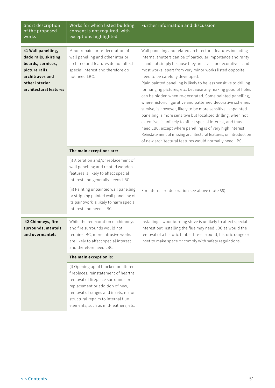| Short description<br>of the proposed<br>works                                                                                                    | Works for which listed building<br>consent is not required, with<br>exceptions highlighted                                                                                                                                                                                  | Further information and discussion                                                                                                                                                                                                                                                                                                                                                                                                                                                                                                                                                                                                                                                                                                                                                                                                                                                                                                                  |
|--------------------------------------------------------------------------------------------------------------------------------------------------|-----------------------------------------------------------------------------------------------------------------------------------------------------------------------------------------------------------------------------------------------------------------------------|-----------------------------------------------------------------------------------------------------------------------------------------------------------------------------------------------------------------------------------------------------------------------------------------------------------------------------------------------------------------------------------------------------------------------------------------------------------------------------------------------------------------------------------------------------------------------------------------------------------------------------------------------------------------------------------------------------------------------------------------------------------------------------------------------------------------------------------------------------------------------------------------------------------------------------------------------------|
| 41 Wall panelling,<br>dado rails, skirting<br>boards, cornices,<br>picture rails,<br>architraves and<br>other interior<br>architectural features | Minor repairs or re-decoration of<br>wall panelling and other interior<br>architectural features do not affect<br>special interest and therefore do<br>not need LBC.<br>The main exceptions are:                                                                            | Wall panelling and related architectural features including<br>internal shutters can be of particular importance and rarity<br>- and not simply because they are lavish or decorative - and<br>most works, apart from very minor works listed opposite,<br>need to be carefully developed.<br>Plain painted panelling is likely to be less sensitive to drilling<br>for hanging pictures, etc, because any making good of holes<br>can be hidden when re-decorated. Some painted panelling,<br>where historic figurative and patterned decorative schemes<br>survive, is however, likely to be more sensitive. Unpainted<br>panelling is more sensitive but localised drilling, when not<br>extensive, is unlikely to affect special interest, and thus<br>need LBC, except where panelling is of very high interest.<br>Reinstatement of missing architectural features, or introduction<br>of new architectural features would normally need LBC. |
|                                                                                                                                                  |                                                                                                                                                                                                                                                                             |                                                                                                                                                                                                                                                                                                                                                                                                                                                                                                                                                                                                                                                                                                                                                                                                                                                                                                                                                     |
|                                                                                                                                                  | (i) Alteration and/or replacement of<br>wall panelling and related wooden<br>features is likely to affect special<br>interest and generally needs LBC.                                                                                                                      |                                                                                                                                                                                                                                                                                                                                                                                                                                                                                                                                                                                                                                                                                                                                                                                                                                                                                                                                                     |
|                                                                                                                                                  | (ii) Painting unpainted wall panelling<br>or stripping painted wall panelling of<br>its paintwork is likely to harm special<br>interest and needs LBC.                                                                                                                      | For internal re-decoration see above (note 38).                                                                                                                                                                                                                                                                                                                                                                                                                                                                                                                                                                                                                                                                                                                                                                                                                                                                                                     |
| 42 Chimneys, fire<br>surrounds, mantels<br>and overmantels                                                                                       | While the redecoration of chimneys<br>and fire surrounds would not<br>require LBC, more intrusive works<br>are likely to affect special interest<br>and therefore need LBC.                                                                                                 | Installing a woodburning stove is unlikely to affect special<br>interest but installing the flue may need LBC as would the<br>removal of a historic timber fire-surround, historic range or<br>inset to make space or comply with safety regulations.                                                                                                                                                                                                                                                                                                                                                                                                                                                                                                                                                                                                                                                                                               |
|                                                                                                                                                  | The main exception is:                                                                                                                                                                                                                                                      |                                                                                                                                                                                                                                                                                                                                                                                                                                                                                                                                                                                                                                                                                                                                                                                                                                                                                                                                                     |
|                                                                                                                                                  | (i) Opening up of blocked or altered<br>fireplaces, reinstatement of hearths,<br>removal of fireplace surrounds or<br>replacement or addition of new,<br>removal of ranges and insets, major<br>structural repairs to internal flue<br>elements, such as mid-feathers, etc. |                                                                                                                                                                                                                                                                                                                                                                                                                                                                                                                                                                                                                                                                                                                                                                                                                                                                                                                                                     |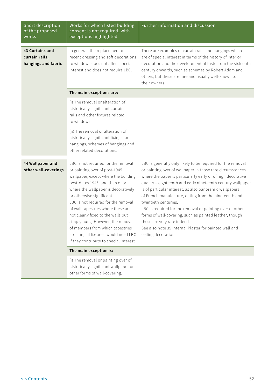| Short description<br>of the proposed<br>works            | Works for which listed building<br>consent is not required, with<br>exceptions highlighted                                                                                                                                                                                                                                                                                                                                                                                                         | Further information and discussion                                                                                                                                                                                                                                                                                                                                                                                                                                                                                                                                                                                                        |
|----------------------------------------------------------|----------------------------------------------------------------------------------------------------------------------------------------------------------------------------------------------------------------------------------------------------------------------------------------------------------------------------------------------------------------------------------------------------------------------------------------------------------------------------------------------------|-------------------------------------------------------------------------------------------------------------------------------------------------------------------------------------------------------------------------------------------------------------------------------------------------------------------------------------------------------------------------------------------------------------------------------------------------------------------------------------------------------------------------------------------------------------------------------------------------------------------------------------------|
| 43 Curtains and<br>curtain rails,<br>hangings and fabric | In general, the replacement of<br>recent dressing and soft decorations<br>to windows does not affect special<br>interest and does not require LBC.                                                                                                                                                                                                                                                                                                                                                 | There are examples of curtain rails and hangings which<br>are of special interest in terms of the history of interior<br>decoration and the development of taste from the sixteenth<br>century onwards, such as schemes by Robert Adam and<br>others, but these are rare and usually well-known to<br>their owners.                                                                                                                                                                                                                                                                                                                       |
|                                                          | The main exceptions are:                                                                                                                                                                                                                                                                                                                                                                                                                                                                           |                                                                                                                                                                                                                                                                                                                                                                                                                                                                                                                                                                                                                                           |
|                                                          | (i) The removal or alteration of<br>historically significant curtain<br>rails and other fixtures related<br>to windows.                                                                                                                                                                                                                                                                                                                                                                            |                                                                                                                                                                                                                                                                                                                                                                                                                                                                                                                                                                                                                                           |
|                                                          | (ii) The removal or alteration of<br>historically significant fixings for<br>hangings, schemes of hangings and<br>other related decorations.                                                                                                                                                                                                                                                                                                                                                       |                                                                                                                                                                                                                                                                                                                                                                                                                                                                                                                                                                                                                                           |
| 44 Wallpaper and<br>other wall-coverings                 | LBC is not required for the removal<br>or painting over of post-1945<br>wallpaper, except where the building<br>post-dates 1945, and then only<br>where the wallpaper is decoratively<br>or otherwise significant.<br>LBC is not required for the removal<br>of wall tapestries where these are<br>not clearly fixed to the walls but<br>simply hung. However, the removal<br>of members from which tapestries<br>are hung, if fixtures, would need LBC<br>if they contribute to special interest. | LBC is generally only likely to be required for the removal<br>or painting over of wallpaper in those rare circumstances<br>where the paper is particularly early or of high decorative<br>quality - eighteenth and early nineteenth century wallpaper<br>is of particular interest, as also panoramic wallpapers<br>of French manufacture, dating from the nineteenth and<br>twentieth centuries<br>LBC is required for the removal or painting over of other<br>forms of wall-covering, such as painted leather, though<br>these are very rare indeed.<br>See also note 39 Internal Plaster for painted wall and<br>ceiling decoration. |
|                                                          | The main exception is:                                                                                                                                                                                                                                                                                                                                                                                                                                                                             |                                                                                                                                                                                                                                                                                                                                                                                                                                                                                                                                                                                                                                           |
|                                                          | (i) The removal or painting over of<br>historically significant wallpaper or<br>other forms of wall-covering.                                                                                                                                                                                                                                                                                                                                                                                      |                                                                                                                                                                                                                                                                                                                                                                                                                                                                                                                                                                                                                                           |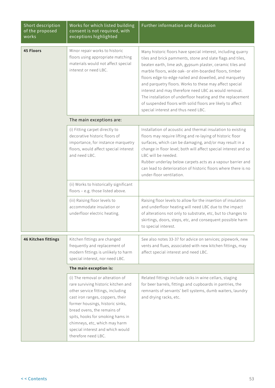| Short description<br>of the proposed<br>works | Works for which listed building<br>consent is not required, with<br>exceptions highlighted                                                                                                                                                                                                                                                          | Further information and discussion                                                                                                                                                                                                                                                                                                                                                                                                                                                                                                                                                                 |  |
|-----------------------------------------------|-----------------------------------------------------------------------------------------------------------------------------------------------------------------------------------------------------------------------------------------------------------------------------------------------------------------------------------------------------|----------------------------------------------------------------------------------------------------------------------------------------------------------------------------------------------------------------------------------------------------------------------------------------------------------------------------------------------------------------------------------------------------------------------------------------------------------------------------------------------------------------------------------------------------------------------------------------------------|--|
| <b>45 Floors</b>                              | Minor repair works to historic<br>floors using appropriate matching<br>materials would not affect special<br>interest or need LBC.                                                                                                                                                                                                                  | Many historic floors have special interest, including quarry<br>tiles and brick pamments, stone and slate flags and tiles,<br>beaten earth, lime ash, gypsum plaster, ceramic tiles and<br>marble floors, wide oak- or elm-boarded floors, timber<br>floors edge-to-edge nailed and dowelled, and marquetry<br>and parquetry floors. Works to these may affect special<br>interest and may therefore need LBC as would removal.<br>The installation of underfloor heating and the replacement<br>of suspended floors with solid floors are likely to affect<br>special interest and thus need LBC. |  |
|                                               | The main exceptions are:                                                                                                                                                                                                                                                                                                                            |                                                                                                                                                                                                                                                                                                                                                                                                                                                                                                                                                                                                    |  |
|                                               | (i) Fitting carpet directly to<br>decorative historic floors of<br>importance, for instance marquetry<br>floors, would affect special interest<br>and need LBC.                                                                                                                                                                                     | Installation of acoustic and thermal insulation to existing<br>floors may require lifting and re-laying of historic floor<br>surfaces, which can be damaging, and/or may result in a<br>change in floor level; both will affect special interest and so<br>LBC will be needed.<br>Rubber underlay below carpets acts as a vapour barrier and<br>can lead to deterioration of historic floors where there is no<br>under-floor ventilation.                                                                                                                                                         |  |
|                                               | (ii) Works to historically significant<br>floors - e.g. those listed above.                                                                                                                                                                                                                                                                         |                                                                                                                                                                                                                                                                                                                                                                                                                                                                                                                                                                                                    |  |
|                                               | (iii) Raising floor levels to<br>accommodate insulation or<br>underfloor electric heating.                                                                                                                                                                                                                                                          | Raising floor levels to allow for the insertion of insulation<br>and underfloor heating will need LBC due to the impact<br>of alterations not only to substrate, etc, but to changes to<br>skirtings, doors, steps, etc, and consequent possible harm<br>to special interest.                                                                                                                                                                                                                                                                                                                      |  |
| 46 Kitchen fittings                           | Kitchen fittings are changed<br>frequently and replacement of<br>modern fittings is unlikely to harm<br>special interest, nor need LBC.                                                                                                                                                                                                             | See also notes 33-37 for advice on services; pipework, new<br>vents and flues, associated with new kitchen fittings, may<br>affect special interest and need LBC.                                                                                                                                                                                                                                                                                                                                                                                                                                  |  |
|                                               | The main exception is:                                                                                                                                                                                                                                                                                                                              |                                                                                                                                                                                                                                                                                                                                                                                                                                                                                                                                                                                                    |  |
|                                               | (i) The removal or alteration of<br>rare surviving historic kitchen and<br>other service fittings, including<br>cast iron ranges, coppers, their<br>former housings, historic sinks,<br>bread ovens, the remains of<br>spits, hooks for smoking hams in<br>chimneys, etc, which may harm<br>special interest and which would<br>therefore need LBC. | Related fittings include racks in wine cellars, staging<br>for beer barrels, fittings and cupboards in pantries, the<br>remnants of servants' bell systems, dumb waiters, laundry<br>and drying racks, etc.                                                                                                                                                                                                                                                                                                                                                                                        |  |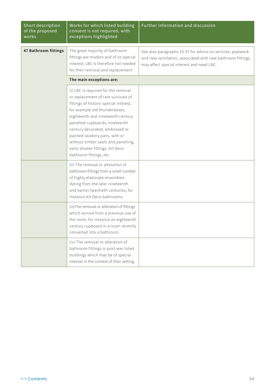| Short description<br>of the proposed<br>works | Works for which listed building<br>consent is not required, with<br>exceptions highlighted                                                                                                                                                                                                                                                                                                            | Further information and discussion                                                                                                                                     |
|-----------------------------------------------|-------------------------------------------------------------------------------------------------------------------------------------------------------------------------------------------------------------------------------------------------------------------------------------------------------------------------------------------------------------------------------------------------------|------------------------------------------------------------------------------------------------------------------------------------------------------------------------|
| 47 Bathroom fittings                          | The great majority of bathroom<br>fittings are modern and of no special<br>interest; LBC is therefore not needed<br>for their removal and replacement                                                                                                                                                                                                                                                 | See also paragraphs 33-37 for advice on services; pipework<br>and new ventilation, associated with new bathroom fittings,<br>may affect special interest and need LBC. |
|                                               | The main exceptions are:                                                                                                                                                                                                                                                                                                                                                                              |                                                                                                                                                                        |
|                                               | (i) LBC is required for the removal<br>or replacement of rare survivals of<br>fittings of historic special interest,<br>for example old thunderboxes,<br>eighteenth and nineteenth century<br>panelled cupboards, nineteenth<br>century decorated, embossed or<br>painted lavatory pans, with or<br>without timber seats and panelling,<br>early shower fittings, Art Deco<br>bathroom fittings, etc. |                                                                                                                                                                        |
|                                               | (ii) The removal or alteration of<br>bathroom fittings from a small number<br>of highly elaborate ensembles<br>dating from the later nineteenth<br>and earlier twentieth centuries, for<br>instance Art Deco bathrooms.                                                                                                                                                                               |                                                                                                                                                                        |
|                                               | (iii) The removal or alteration of fittings<br>which survive from a previous use of<br>the room, for instance an eighteenth<br>century cupboard in a room recently<br>converted into a bathroom.                                                                                                                                                                                                      |                                                                                                                                                                        |
|                                               | (iv) The removal or alteration of<br>bathroom fittings in post-war listed<br>buildings which may be of special<br>interest in the context of their setting.                                                                                                                                                                                                                                           |                                                                                                                                                                        |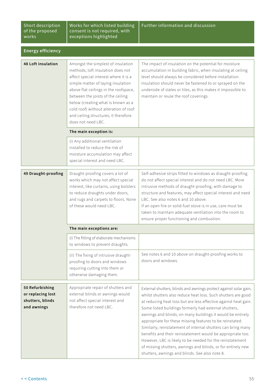Short description of the proposed works

Works for which listed building consent is not required, with exceptions highlighted

| <b>Energy efficiency</b>                                                |                                                                                                                                                                                                                                                                                                                                                                                   |                                                                                                                                                                                                                                                                                                                                                                                                                                                                                                                                                                                                                                                                                                       |
|-------------------------------------------------------------------------|-----------------------------------------------------------------------------------------------------------------------------------------------------------------------------------------------------------------------------------------------------------------------------------------------------------------------------------------------------------------------------------|-------------------------------------------------------------------------------------------------------------------------------------------------------------------------------------------------------------------------------------------------------------------------------------------------------------------------------------------------------------------------------------------------------------------------------------------------------------------------------------------------------------------------------------------------------------------------------------------------------------------------------------------------------------------------------------------------------|
| <b>48 Loft insulation</b>                                               | Amongst the simplest of insulation<br>methods, loft insulation does not<br>affect special interest where it is a<br>simple matter of laying insulation<br>above flat ceilings in the roofspace,<br>between the joists of the ceiling<br>below (creating what is known as a<br>cold roof) without alteration of roof<br>and ceiling structures; it therefore<br>does not need LBC. | The impact of insulation on the potential for moisture<br>accumulation in building fabric, when insulating at ceiling<br>level should always be considered before installation.<br>Insulation should never be fastened to or sprayed on the<br>underside of slates or tiles, as this makes it impossible to<br>maintain or reuse the roof coverings.                                                                                                                                                                                                                                                                                                                                                  |
|                                                                         | The main exception is:                                                                                                                                                                                                                                                                                                                                                            |                                                                                                                                                                                                                                                                                                                                                                                                                                                                                                                                                                                                                                                                                                       |
|                                                                         | (i) Any additional ventilation<br>installed to reduce the risk of<br>moisture accumulation may affect<br>special interest and need LBC.                                                                                                                                                                                                                                           |                                                                                                                                                                                                                                                                                                                                                                                                                                                                                                                                                                                                                                                                                                       |
| 49 Draught-proofing                                                     | Draught-proofing covers a lot of<br>works which may not affect special<br>interest, like curtains, using bolsters<br>to reduce draughts under doors,<br>and rugs and carpets to floors. None<br>of these would need LBC.                                                                                                                                                          | Self-adhesive strips fitted to windows as draught-proofing<br>do not affect special interest and do not need LBC. More<br>intrusive methods of draught-proofing, with damage to<br>structure and features, may affect special interest and need<br>LBC. See also notes 6 and 10 above.<br>If an open fire or solid-fuel stove is in use, care must be<br>taken to maintain adequate ventilation into the room to<br>ensure proper functioning and combustion.                                                                                                                                                                                                                                         |
|                                                                         | The main exceptions are:                                                                                                                                                                                                                                                                                                                                                          |                                                                                                                                                                                                                                                                                                                                                                                                                                                                                                                                                                                                                                                                                                       |
|                                                                         | (i) The fitting of elaborate mechanisms<br>to windows to prevent draughts.                                                                                                                                                                                                                                                                                                        |                                                                                                                                                                                                                                                                                                                                                                                                                                                                                                                                                                                                                                                                                                       |
|                                                                         | (ii) The fixing of intrusive draught-<br>proofing to doors and windows<br>requiring cutting into them or<br>otherwise damaging them.                                                                                                                                                                                                                                              | See notes 6 and 10 above on draught-proofing works to<br>doors and windows.                                                                                                                                                                                                                                                                                                                                                                                                                                                                                                                                                                                                                           |
| 50 Refurbishing<br>or replacing lost<br>shutters, blinds<br>and awnings | Appropriate repair of shutters and<br>external blinds or awnings would<br>not affect special interest and<br>therefore not need LBC.                                                                                                                                                                                                                                              | External shutters, blinds and awnings protect against solar gain,<br>whilst shutters also reduce heat loss. Such shutters are good<br>at reducing heat loss but are less effective against heat gain.<br>Some listed buildings formerly had external shutters,<br>awnings and blinds; on many buildings it would be entirely<br>appropriate for these missing features to be reinstated.<br>Similarly, reinstatement of internal shutters can bring many<br>benefits and their reinstatement would be appropriate too.<br>However, LBC is likely to be needed for the reinstatement<br>of missing shutters, awnings and blinds, or for entirely new<br>shutters, awnings and blinds. See also note 8. |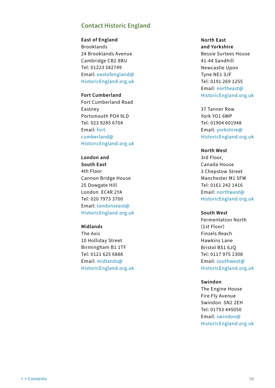## **Contact Historic England**

**East of England** Brooklands 24 Brooklands Avenue Cambridge CB2 8BU Tel: 01223 582749 Email: [eastofengland@](mailto:eastofengland%40HistoricEngland.org.uk?subject=Guidance) [HistoricEngland.org.uk](mailto:eastofengland%40HistoricEngland.org.uk?subject=Guidance)

### **Fort Cumberland** Fort Cumberland Road Eastney Portsmouth PO4 9LD Tel: 023 9285 6704 Email: [fort.](mailto:fort.cumberland%40HistoricEngland.org.uk?subject=Guidance) [cumberland@](mailto:fort.cumberland%40HistoricEngland.org.uk?subject=Guidance) [HistoricEngland.org.uk](mailto:fort.cumberland%40HistoricEngland.org.uk?subject=Guidance)

**London and South East** 4th Floor Cannon Bridge House 25 Dowgate Hill London EC4R 2YA Tel: 020 7973 3700 Email: [londonseast@](mailto:londonseast%40HistoricEngland.org.uk?subject=Guidance) [HistoricEngland.org.uk](mailto:londonseast%40HistoricEngland.org.uk?subject=Guidance)

#### **Midlands**

The Axis 10 Holliday Street Birmingham B1 1TF Tel: 0121 625 6888 Email: [midlands@](mailto:midlands%40HistoricEngland.org.uk?subject=Guidance) [HistoricEngland.org.uk](mailto:midlands%40HistoricEngland.org.uk?subject=Guidance) **North East and Yorkshire** Bessie Surtees House 41-44 Sandhill Newcastle Upon Tyne NE1 3JF Tel: 0191 269 1255 Email: [northeast@](mailto:northeast%40HistoricEngland.org.uk?subject=Guidance) [HistoricEngland.org.uk](mailto:northeast%40HistoricEngland.org.uk?subject=Guidance)

37 Tanner Row York YO1 6WP Tel: 01904 601948 Email: [yorkshire@](mailto:yorkshire%40HistoricEngland.org.uk?subject=Guidance) [HistoricEngland.org.uk](mailto:yorkshire%40HistoricEngland.org.uk?subject=Guidance)

#### **North West**

3rd Floor, Canada House 3 Chepstow Street Manchester M1 5FW Tel: 0161 242 1416 Email: [northwest@](mailto:northwest%40HistoricEngland.org.uk?subject=Guidance) [HistoricEngland.org.uk](mailto:northwest%40HistoricEngland.org.uk?subject=Guidance)

#### **South West**

Fermentation North (1st Floor) Finzels Reach Hawkins Lane Bristol BS1 6JQ Tel: 0117 975 1308 Email: [southwest@](mailto:southwest%40HistoricEngland.org.uk?subject=Guidance) [HistoricEngland.org.uk](mailto:southwest%40HistoricEngland.org.uk?subject=Guidance)

#### **Swindon**

The Engine House Fire Fly Avenue Swindon SN2 2EH Tel: 01793 445050 Email: [swindon@](mailto:swindon%40HistoricEngland.org.uk?subject=Guidance) [HistoricEngland.org.uk](mailto:swindon%40HistoricEngland.org.uk?subject=Guidance)